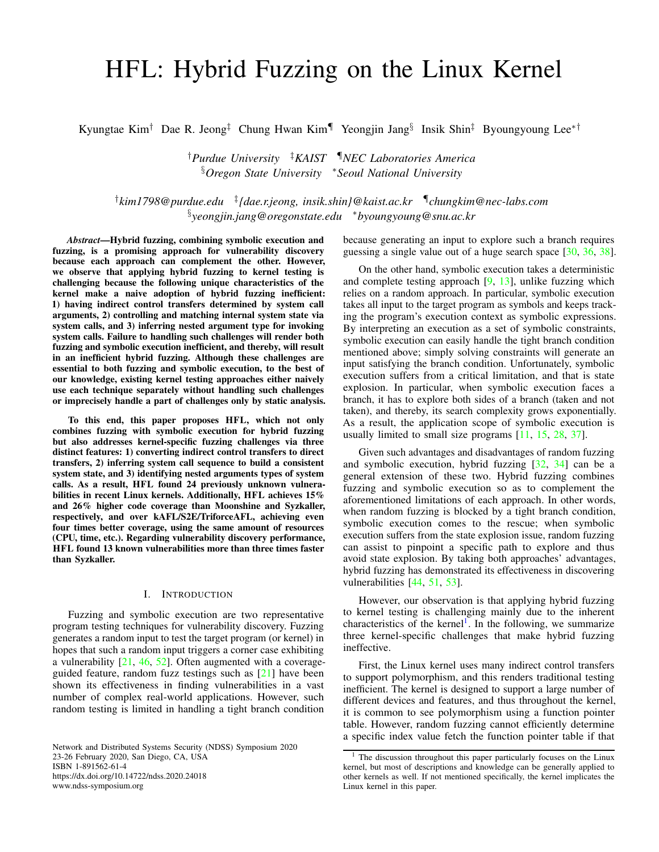# HFL: Hybrid Fuzzing on the Linux Kernel

Kyungtae Kim<sup>†</sup> Dae R. Jeong<sup>‡</sup> Chung Hwan Kim¶ Yeongjin Jang<sup>§</sup> Insik Shin<sup>‡</sup> Byoungyoung Lee<sup>\*†</sup>

†*Purdue University* ‡*KAIST* ¶*NEC Laboratories America* §*Oregon State University* <sup>∗</sup>*Seoul National University*

† *kim1798@purdue.edu* ‡ *{dae.r.jeong, insik.shin}@kaist.ac.kr* ¶ *chungkim@nec-labs.com* § *yeongjin.jang@oregonstate.edu* <sup>∗</sup>*byoungyoung@snu.ac.kr*

*Abstract*—Hybrid fuzzing, combining symbolic execution and fuzzing, is a promising approach for vulnerability discovery because each approach can complement the other. However, we observe that applying hybrid fuzzing to kernel testing is challenging because the following unique characteristics of the kernel make a naive adoption of hybrid fuzzing inefficient: 1) having indirect control transfers determined by system call arguments, 2) controlling and matching internal system state via system calls, and 3) inferring nested argument type for invoking system calls. Failure to handling such challenges will render both fuzzing and symbolic execution inefficient, and thereby, will result in an inefficient hybrid fuzzing. Although these challenges are essential to both fuzzing and symbolic execution, to the best of our knowledge, existing kernel testing approaches either naively use each technique separately without handling such challenges or imprecisely handle a part of challenges only by static analysis.

To this end, this paper proposes HFL, which not only combines fuzzing with symbolic execution for hybrid fuzzing but also addresses kernel-specific fuzzing challenges via three distinct features: 1) converting indirect control transfers to direct transfers, 2) inferring system call sequence to build a consistent system state, and 3) identifying nested arguments types of system calls. As a result, HFL found 24 previously unknown vulnerabilities in recent Linux kernels. Additionally, HFL achieves 15% and 26% higher code coverage than Moonshine and Syzkaller, respectively, and over kAFL/S2E/TriforceAFL, achieving even four times better coverage, using the same amount of resources (CPU, time, etc.). Regarding vulnerability discovery performance, HFL found 13 known vulnerabilities more than three times faster than Syzkaller.

## I. INTRODUCTION

Fuzzing and symbolic execution are two representative program testing techniques for vulnerability discovery. Fuzzing generates a random input to test the target program (or kernel) in hopes that such a random input triggers a corner case exhibiting a vulnerability [\[21,](#page-14-0) [46,](#page-15-0) [52\]](#page-15-1). Often augmented with a coverageguided feature, random fuzz testings such as [\[21\]](#page-14-0) have been shown its effectiveness in finding vulnerabilities in a vast number of complex real-world applications. However, such random testing is limited in handling a tight branch condition

Network and Distributed Systems Security (NDSS) Symposium 2020 23-26 February 2020, San Diego, CA, USA ISBN 1-891562-61-4 https://dx.doi.org/10.14722/ndss.2020.24018 www.ndss-symposium.org

because generating an input to explore such a branch requires guessing a single value out of a huge search space [\[30,](#page-15-2) [36,](#page-15-3) [38\]](#page-15-4).

On the other hand, symbolic execution takes a deterministic and complete testing approach [\[9,](#page-14-1) [13\]](#page-14-2), unlike fuzzing which relies on a random approach. In particular, symbolic execution takes all input to the target program as symbols and keeps tracking the program's execution context as symbolic expressions. By interpreting an execution as a set of symbolic constraints, symbolic execution can easily handle the tight branch condition mentioned above; simply solving constraints will generate an input satisfying the branch condition. Unfortunately, symbolic execution suffers from a critical limitation, and that is state explosion. In particular, when symbolic execution faces a branch, it has to explore both sides of a branch (taken and not taken), and thereby, its search complexity grows exponentially. As a result, the application scope of symbolic execution is usually limited to small size programs [\[11,](#page-14-3) [15,](#page-14-4) [28,](#page-14-5) [37\]](#page-15-5).

Given such advantages and disadvantages of random fuzzing and symbolic execution, hybrid fuzzing [\[32,](#page-15-6) [34\]](#page-15-7) can be a general extension of these two. Hybrid fuzzing combines fuzzing and symbolic execution so as to complement the aforementioned limitations of each approach. In other words, when random fuzzing is blocked by a tight branch condition, symbolic execution comes to the rescue; when symbolic execution suffers from the state explosion issue, random fuzzing can assist to pinpoint a specific path to explore and thus avoid state explosion. By taking both approaches' advantages, hybrid fuzzing has demonstrated its effectiveness in discovering vulnerabilities [\[44,](#page-15-8) [51,](#page-15-9) [53\]](#page-15-10).

However, our observation is that applying hybrid fuzzing to kernel testing is challenging mainly due to the inherent characteristics of the kernel<sup>[1](#page-0-0)</sup>. In the following, we summarize three kernel-specific challenges that make hybrid fuzzing ineffective.

First, the Linux kernel uses many indirect control transfers to support polymorphism, and this renders traditional testing inefficient. The kernel is designed to support a large number of different devices and features, and thus throughout the kernel, it is common to see polymorphism using a function pointer table. However, random fuzzing cannot efficiently determine a specific index value fetch the function pointer table if that

<span id="page-0-0"></span>The discussion throughout this paper particularly focuses on the Linux kernel, but most of descriptions and knowledge can be generally applied to other kernels as well. If not mentioned specifically, the kernel implicates the Linux kernel in this paper.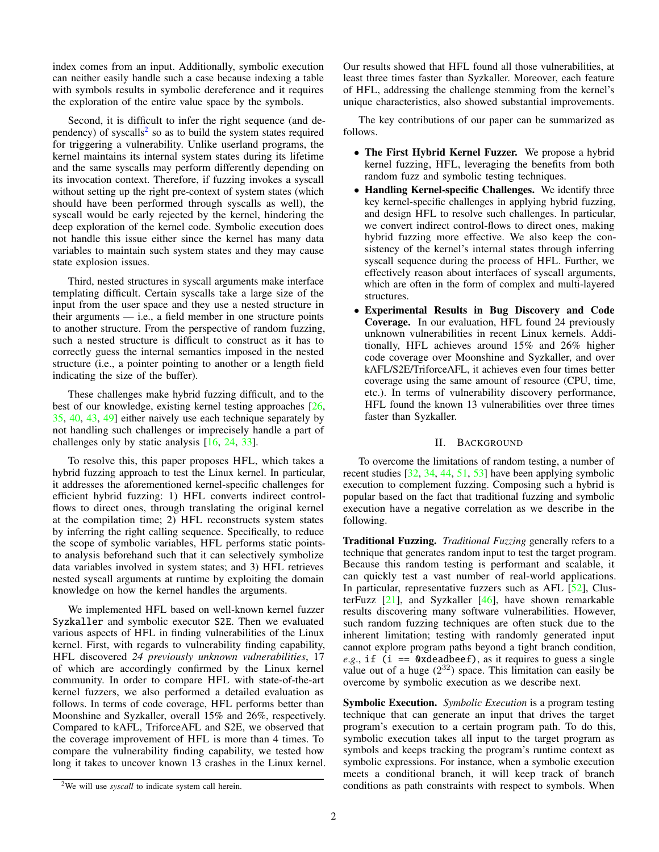index comes from an input. Additionally, symbolic execution can neither easily handle such a case because indexing a table with symbols results in symbolic dereference and it requires the exploration of the entire value space by the symbols.

Second, it is difficult to infer the right sequence (and de-pendency) of syscalls<sup>[2](#page-1-0)</sup> so as to build the system states required for triggering a vulnerability. Unlike userland programs, the kernel maintains its internal system states during its lifetime and the same syscalls may perform differently depending on its invocation context. Therefore, if fuzzing invokes a syscall without setting up the right pre-context of system states (which should have been performed through syscalls as well), the syscall would be early rejected by the kernel, hindering the deep exploration of the kernel code. Symbolic execution does not handle this issue either since the kernel has many data variables to maintain such system states and they may cause state explosion issues.

Third, nested structures in syscall arguments make interface templating difficult. Certain syscalls take a large size of the input from the user space and they use a nested structure in their arguments  $-$  i.e., a field member in one structure points to another structure. From the perspective of random fuzzing, such a nested structure is difficult to construct as it has to correctly guess the internal semantics imposed in the nested structure (i.e., a pointer pointing to another or a length field indicating the size of the buffer).

These challenges make hybrid fuzzing difficult, and to the best of our knowledge, existing kernel testing approaches [\[26,](#page-14-6) [35,](#page-15-11) [40,](#page-15-12) [43,](#page-15-13) [49\]](#page-15-14) either naively use each technique separately by not handling such challenges or imprecisely handle a part of challenges only by static analysis [\[16,](#page-14-7) [24,](#page-14-8) [33\]](#page-15-15).

To resolve this, this paper proposes HFL, which takes a hybrid fuzzing approach to test the Linux kernel. In particular, it addresses the aforementioned kernel-specific challenges for efficient hybrid fuzzing: 1) HFL converts indirect controlflows to direct ones, through translating the original kernel at the compilation time; 2) HFL reconstructs system states by inferring the right calling sequence. Specifically, to reduce the scope of symbolic variables, HFL performs static pointsto analysis beforehand such that it can selectively symbolize data variables involved in system states; and 3) HFL retrieves nested syscall arguments at runtime by exploiting the domain knowledge on how the kernel handles the arguments.

We implemented HFL based on well-known kernel fuzzer Syzkaller and symbolic executor S2E. Then we evaluated various aspects of HFL in finding vulnerabilities of the Linux kernel. First, with regards to vulnerability finding capability, HFL discovered *24 previously unknown vulnerabilities*, 17 of which are accordingly confirmed by the Linux kernel community. In order to compare HFL with state-of-the-art kernel fuzzers, we also performed a detailed evaluation as follows. In terms of code coverage, HFL performs better than Moonshine and Syzkaller, overall 15% and 26%, respectively. Compared to kAFL, TriforceAFL and S2E, we observed that the coverage improvement of HFL is more than 4 times. To compare the vulnerability finding capability, we tested how long it takes to uncover known 13 crashes in the Linux kernel. Our results showed that HFL found all those vulnerabilities, at least three times faster than Syzkaller. Moreover, each feature of HFL, addressing the challenge stemming from the kernel's unique characteristics, also showed substantial improvements.

The key contributions of our paper can be summarized as follows.

- The First Hybrid Kernel Fuzzer. We propose a hybrid kernel fuzzing, HFL, leveraging the benefits from both random fuzz and symbolic testing techniques.
- Handling Kernel-specific Challenges. We identify three key kernel-specific challenges in applying hybrid fuzzing, and design HFL to resolve such challenges. In particular, we convert indirect control-flows to direct ones, making hybrid fuzzing more effective. We also keep the consistency of the kernel's internal states through inferring syscall sequence during the process of HFL. Further, we effectively reason about interfaces of syscall arguments, which are often in the form of complex and multi-layered structures.
- Experimental Results in Bug Discovery and Code Coverage. In our evaluation, HFL found 24 previously unknown vulnerabilities in recent Linux kernels. Additionally, HFL achieves around 15% and 26% higher code coverage over Moonshine and Syzkaller, and over kAFL/S2E/TriforceAFL, it achieves even four times better coverage using the same amount of resource (CPU, time, etc.). In terms of vulnerability discovery performance, HFL found the known 13 vulnerabilities over three times faster than Syzkaller.

## II. BACKGROUND

To overcome the limitations of random testing, a number of recent studies [\[32,](#page-15-6) [34,](#page-15-7) [44,](#page-15-8) [51,](#page-15-9) [53\]](#page-15-10) have been applying symbolic execution to complement fuzzing. Composing such a hybrid is popular based on the fact that traditional fuzzing and symbolic execution have a negative correlation as we describe in the following.

Traditional Fuzzing. *Traditional Fuzzing* generally refers to a technique that generates random input to test the target program. Because this random testing is performant and scalable, it can quickly test a vast number of real-world applications. In particular, representative fuzzers such as AFL [\[52\]](#page-15-1), ClusterFuzz  $[21]$ , and Syzkaller  $[46]$ , have shown remarkable results discovering many software vulnerabilities. However, such random fuzzing techniques are often stuck due to the inherent limitation; testing with randomly generated input cannot explore program paths beyond a tight branch condition, *e.g.*, if (i == 0xdeadbeef), as it requires to guess a single value out of a huge  $(2^{32})$  space. This limitation can easily be overcome by symbolic execution as we describe next.

Symbolic Execution. *Symbolic Execution* is a program testing technique that can generate an input that drives the target program's execution to a certain program path. To do this, symbolic execution takes all input to the target program as symbols and keeps tracking the program's runtime context as symbolic expressions. For instance, when a symbolic execution meets a conditional branch, it will keep track of branch conditions as path constraints with respect to symbols. When

<span id="page-1-0"></span><sup>&</sup>lt;sup>2</sup>We will use *syscall* to indicate system call herein.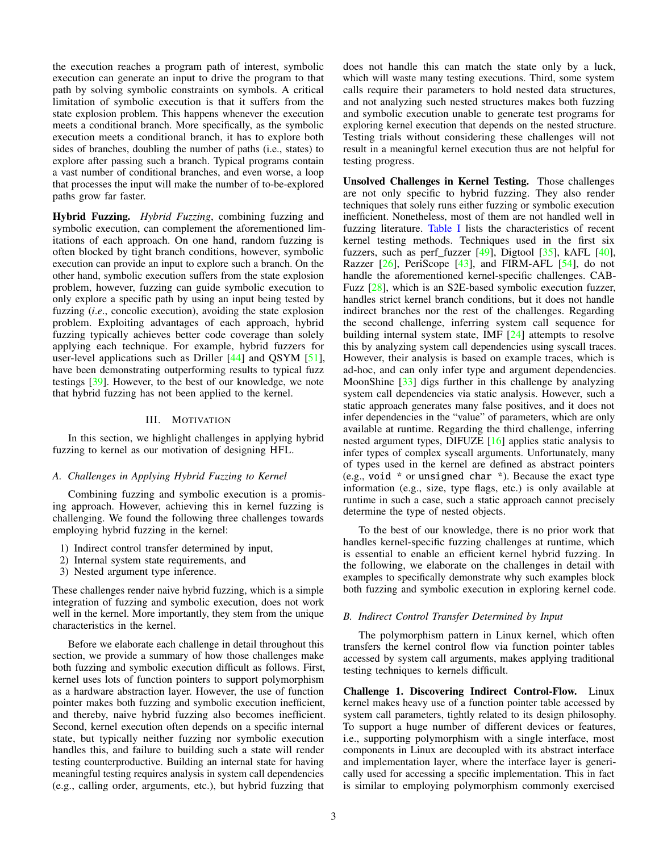the execution reaches a program path of interest, symbolic execution can generate an input to drive the program to that path by solving symbolic constraints on symbols. A critical limitation of symbolic execution is that it suffers from the state explosion problem. This happens whenever the execution meets a conditional branch. More specifically, as the symbolic execution meets a conditional branch, it has to explore both sides of branches, doubling the number of paths (i.e., states) to explore after passing such a branch. Typical programs contain a vast number of conditional branches, and even worse, a loop that processes the input will make the number of to-be-explored paths grow far faster.

Hybrid Fuzzing. *Hybrid Fuzzing*, combining fuzzing and symbolic execution, can complement the aforementioned limitations of each approach. On one hand, random fuzzing is often blocked by tight branch conditions, however, symbolic execution can provide an input to explore such a branch. On the other hand, symbolic execution suffers from the state explosion problem, however, fuzzing can guide symbolic execution to only explore a specific path by using an input being tested by fuzzing (*i*.*e*., concolic execution), avoiding the state explosion problem. Exploiting advantages of each approach, hybrid fuzzing typically achieves better code coverage than solely applying each technique. For example, hybrid fuzzers for user-level applications such as Driller [\[44\]](#page-15-8) and QSYM [\[51\]](#page-15-9), have been demonstrating outperforming results to typical fuzz testings [\[39\]](#page-15-16). However, to the best of our knowledge, we note that hybrid fuzzing has not been applied to the kernel.

## III. MOTIVATION

<span id="page-2-1"></span>In this section, we highlight challenges in applying hybrid fuzzing to kernel as our motivation of designing HFL.

## *A. Challenges in Applying Hybrid Fuzzing to Kernel*

Combining fuzzing and symbolic execution is a promising approach. However, achieving this in kernel fuzzing is challenging. We found the following three challenges towards employing hybrid fuzzing in the kernel:

- 1) Indirect control transfer determined by input,
- 2) Internal system state requirements, and
- 3) Nested argument type inference.

These challenges render naive hybrid fuzzing, which is a simple integration of fuzzing and symbolic execution, does not work well in the kernel. More importantly, they stem from the unique characteristics in the kernel.

Before we elaborate each challenge in detail throughout this section, we provide a summary of how those challenges make both fuzzing and symbolic execution difficult as follows. First, kernel uses lots of function pointers to support polymorphism as a hardware abstraction layer. However, the use of function pointer makes both fuzzing and symbolic execution inefficient, and thereby, naive hybrid fuzzing also becomes inefficient. Second, kernel execution often depends on a specific internal state, but typically neither fuzzing nor symbolic execution handles this, and failure to building such a state will render testing counterproductive. Building an internal state for having meaningful testing requires analysis in system call dependencies (e.g., calling order, arguments, etc.), but hybrid fuzzing that

does not handle this can match the state only by a luck, which will waste many testing executions. Third, some system calls require their parameters to hold nested data structures, and not analyzing such nested structures makes both fuzzing and symbolic execution unable to generate test programs for exploring kernel execution that depends on the nested structure. Testing trials without considering these challenges will not result in a meaningful kernel execution thus are not helpful for testing progress.

Unsolved Challenges in Kernel Testing. Those challenges are not only specific to hybrid fuzzing. They also render techniques that solely runs either fuzzing or symbolic execution inefficient. Nonetheless, most of them are not handled well in fuzzing literature. [Table I](#page-3-0) lists the characteristics of recent kernel testing methods. Techniques used in the first six fuzzers, such as perf fuzzer  $[49]$ , Digtool  $[35]$ , kAFL  $[40]$ , Razzer [\[26\]](#page-14-6), PeriScope [\[43\]](#page-15-13), and FIRM-AFL [\[54\]](#page-15-17), do not handle the aforementioned kernel-specific challenges. CAB-Fuzz [\[28\]](#page-14-5), which is an S2E-based symbolic execution fuzzer, handles strict kernel branch conditions, but it does not handle indirect branches nor the rest of the challenges. Regarding the second challenge, inferring system call sequence for building internal system state, IMF [\[24\]](#page-14-8) attempts to resolve this by analyzing system call dependencies using syscall traces. However, their analysis is based on example traces, which is ad-hoc, and can only infer type and argument dependencies. MoonShine [\[33\]](#page-15-15) digs further in this challenge by analyzing system call dependencies via static analysis. However, such a static approach generates many false positives, and it does not infer dependencies in the "value" of parameters, which are only available at runtime. Regarding the third challenge, inferring nested argument types, DIFUZE [\[16\]](#page-14-7) applies static analysis to infer types of complex syscall arguments. Unfortunately, many of types used in the kernel are defined as abstract pointers (e.g., void \* or unsigned char \*). Because the exact type information (e.g., size, type flags, etc.) is only available at runtime in such a case, such a static approach cannot precisely determine the type of nested objects.

To the best of our knowledge, there is no prior work that handles kernel-specific fuzzing challenges at runtime, which is essential to enable an efficient kernel hybrid fuzzing. In the following, we elaborate on the challenges in detail with examples to specifically demonstrate why such examples block both fuzzing and symbolic execution in exploring kernel code.

## <span id="page-2-0"></span>*B. Indirect Control Transfer Determined by Input*

The polymorphism pattern in Linux kernel, which often transfers the kernel control flow via function pointer tables accessed by system call arguments, makes applying traditional testing techniques to kernels difficult.

Challenge 1. Discovering Indirect Control-Flow. Linux kernel makes heavy use of a function pointer table accessed by system call parameters, tightly related to its design philosophy. To support a huge number of different devices or features, i.e., supporting polymorphism with a single interface, most components in Linux are decoupled with its abstract interface and implementation layer, where the interface layer is generically used for accessing a specific implementation. This in fact is similar to employing polymorphism commonly exercised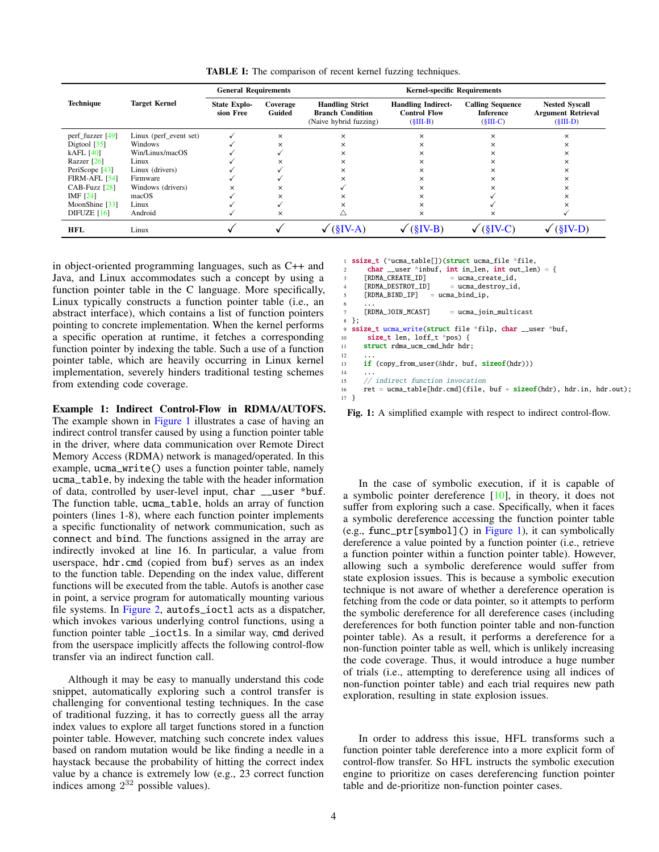<span id="page-3-0"></span>

|                           |                        | <b>General Requirements</b>      |                    |                                                                             | <b>Kernel-specific Requirements</b>                            |                                                           |                                                                  |
|---------------------------|------------------------|----------------------------------|--------------------|-----------------------------------------------------------------------------|----------------------------------------------------------------|-----------------------------------------------------------|------------------------------------------------------------------|
| <b>Technique</b>          | <b>Target Kernel</b>   | <b>State Explo-</b><br>sion Free | Coverage<br>Guided | <b>Handling Strict</b><br><b>Branch Condition</b><br>(Naive hybrid fuzzing) | <b>Handling Indirect-</b><br><b>Control Flow</b><br>$(SIII-B)$ | <b>Calling Sequence</b><br><b>Inference</b><br>$(SIII-C)$ | <b>Nested Syscall</b><br><b>Argument Retrieval</b><br>$(SIII-D)$ |
| perf_fuzzer $[49]$        | Linux (perf_event set) |                                  | ×                  | $\times$                                                                    | $\times$                                                       | ×                                                         | $\times$                                                         |
| Digtool $\left[35\right]$ | Windows                |                                  | ×                  | $\times$                                                                    | $\times$                                                       | ×                                                         | $\times$                                                         |
| $kAFL$ [40]               | Win/Linux/macOS        |                                  |                    | $\times$                                                                    | $\times$                                                       | $\times$                                                  | $\times$                                                         |
| Razzer $\lceil 26 \rceil$ | Linux                  |                                  | x                  | $\times$                                                                    | ×                                                              | $\times$                                                  | $\times$                                                         |
| PeriScope [43]            | Linux (drivers)        |                                  |                    | $\times$                                                                    | ×                                                              | ×                                                         | $\times$                                                         |
| <b>FIRM-AFL [54]</b>      | Firmware               |                                  |                    | ×                                                                           | ×                                                              | ×                                                         | $\times$                                                         |
| CAB-Fuzz [28]             | Windows (drivers)      | $\times$                         | x                  |                                                                             | ×                                                              | ×                                                         | $\times$                                                         |
| IMF $[24]$                | macOS                  |                                  | ×                  | $\times$                                                                    | ×                                                              |                                                           | $\times$                                                         |
| MoonShine [33]            | Linux                  |                                  |                    | ×                                                                           | ×                                                              |                                                           |                                                                  |
| DIFUZE $[16]$             | Android                |                                  | ×                  | Λ                                                                           | ×                                                              | ×                                                         |                                                                  |
| <b>HFL</b>                | Linux                  |                                  |                    | $SIV-A$                                                                     | $(SIV-B)$                                                      | $(\S IV-C)$                                               |                                                                  |

12 ...

 $14$ 

TABLE I: The comparison of recent kernel fuzzing techniques.

in object-oriented programming languages, such as C++ and Java, and Linux accommodates such a concept by using a function pointer table in the C language. More specifically, Linux typically constructs a function pointer table (i.e., an abstract interface), which contains a list of function pointers pointing to concrete implementation. When the kernel performs a specific operation at runtime, it fetches a corresponding function pointer by indexing the table. Such a use of a function pointer table, which are heavily occurring in Linux kernel implementation, severely hinders traditional testing schemes from extending code coverage.

Example 1: Indirect Control-Flow in RDMA/AUTOFS. The example shown in [Figure 1](#page-3-1) illustrates a case of having an indirect control transfer caused by using a function pointer table in the driver, where data communication over Remote Direct Memory Access (RDMA) network is managed/operated. In this example, ucma\_write() uses a function pointer table, namely ucma\_table, by indexing the table with the header information of data, controlled by user-level input, char \_\_user \*buf. The function table, ucma\_table, holds an array of function pointers (lines 1-8), where each function pointer implements a specific functionality of network communication, such as connect and bind. The functions assigned in the array are indirectly invoked at line 16. In particular, a value from userspace, hdr.cmd (copied from buf) serves as an index to the function table. Depending on the index value, different functions will be executed from the table. Autofs is another case in point, a service program for automatically mounting various file systems. In [Figure 2,](#page-4-1) autofs\_ioctl acts as a dispatcher, which invokes various underlying control functions, using a function pointer table \_ioctls. In a similar way, cmd derived from the userspace implicitly affects the following control-flow transfer via an indirect function call.

Although it may be easy to manually understand this code snippet, automatically exploring such a control transfer is challenging for conventional testing techniques. In the case of traditional fuzzing, it has to correctly guess all the array index values to explore all target functions stored in a function pointer table. However, matching such concrete index values based on random mutation would be like finding a needle in a haystack because the probability of hitting the correct index value by a chance is extremely low (e.g., 23 correct function indices among  $2^{32}$  possible values).

```
ssize_t (*ucma_table[])(struct ucma_file *file,
        char \_user *inbuf, int \_ien, int \_out \_len) = {<br>
FRDMA \_CREATE \_ID] = ucma \_create \_id.[RDMA_CREATE\_ID] = ucma_create_id,<br>[RDMA_DESTROY\_ID] = ucma_destroy_id
        [RDMA_DESTROY_ID] = ucma_destroy_id,<br>[RDMA_BNID_IP] = ucma_bind_ip,
                               = ucma_bind_ip,
 6 \qquad \ldots[RDMA_JOIN_MCAST] = ucma_join_multicast
   8 };
9 ssize_t ucma_write(struct file *filp, char __user *buf,
10 size_t len, loff_t *pos) {
11 struct rdma_ucm_cmd_hdr hdr;
13 if (copy_from_user(&hdr, buf, sizeof(hdr)))
15 // indirect function invocation<br>16 ret = ucma table[hdr.cmd](file.
        \text{ret} = \text{ucma\_table}[\text{hdr.cmd}] (\text{file}, \text{buf} + \text{sizeof}(\text{hdr}), \text{hdr.in}, \text{hdr.out});17 }
```
Fig. 1: A simplified example with respect to indirect control-flow.

In the case of symbolic execution, if it is capable of a symbolic pointer dereference [\[10\]](#page-14-9), in theory, it does not suffer from exploring such a case. Specifically, when it faces a symbolic dereference accessing the function pointer table (e.g., func\_ptr[symbol]() in [Figure 1\)](#page-3-1), it can symbolically dereference a value pointed by a function pointer (i.e., retrieve a function pointer within a function pointer table). However, allowing such a symbolic dereference would suffer from state explosion issues. This is because a symbolic execution technique is not aware of whether a dereference operation is fetching from the code or data pointer, so it attempts to perform the symbolic dereference for all dereference cases (including dereferences for both function pointer table and non-function pointer table). As a result, it performs a dereference for a non-function pointer table as well, which is unlikely increasing the code coverage. Thus, it would introduce a huge number of trials (i.e., attempting to dereference using all indices of non-function pointer table) and each trial requires new path exploration, resulting in state explosion issues.

In order to address this issue, HFL transforms such a function pointer table dereference into a more explicit form of control-flow transfer. So HFL instructs the symbolic execution engine to prioritize on cases dereferencing function pointer table and de-prioritize non-function pointer cases.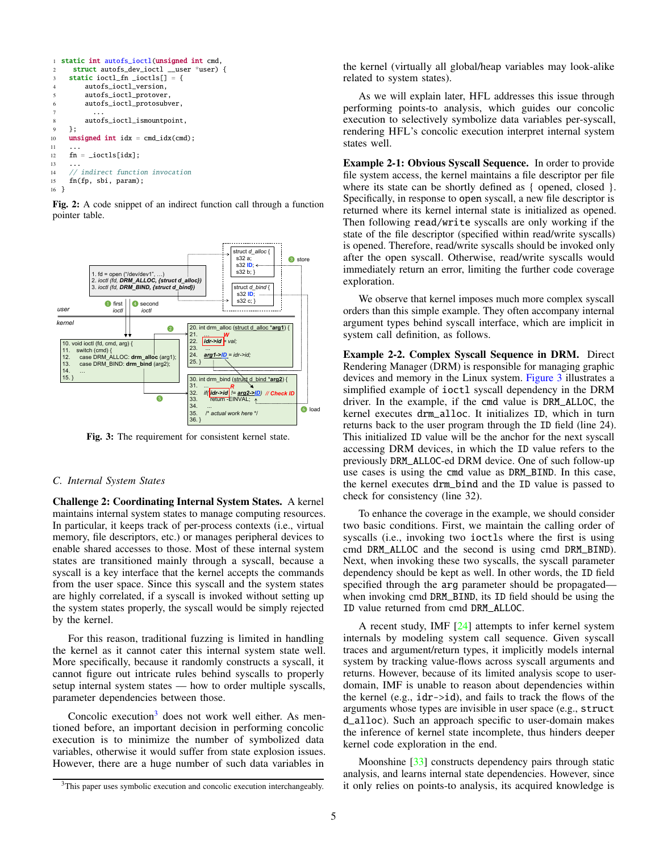```
1 static int autofs_ioctl(unsigned int cmd,
2 struct autofs_dev_ioctl __user *user) {
    static ioctl_fn \_ioctls[] = {
        autofs ioctl version.
        autofs_ioctl_protover,
6 autofs_ioctl_protosubver,
7 ...
8 autofs_ioctl_ismountpoint,
9 };
10 unsigned int idx = cmd\_idx(cmd);
1112 fn = ioctls[idx];
13 ...
14 // indirect function invocation
15 fn(fp, sbi, param);
16 }
```
Fig. 2: A code snippet of an indirect function call through a function pointer table.

<span id="page-4-3"></span>

Fig. 3: The requirement for consistent kernel state.

## <span id="page-4-0"></span>*C. Internal System States*

Challenge 2: Coordinating Internal System States. A kernel maintains internal system states to manage computing resources. In particular, it keeps track of per-process contexts (i.e., virtual memory, file descriptors, etc.) or manages peripheral devices to enable shared accesses to those. Most of these internal system states are transitioned mainly through a syscall, because a syscall is a key interface that the kernel accepts the commands from the user space. Since this syscall and the system states are highly correlated, if a syscall is invoked without setting up the system states properly, the syscall would be simply rejected by the kernel.

For this reason, traditional fuzzing is limited in handling the kernel as it cannot cater this internal system state well. More specifically, because it randomly constructs a syscall, it cannot figure out intricate rules behind syscalls to properly setup internal system states — how to order multiple syscalls, parameter dependencies between those.

Concolic execution $3$  does not work well either. As mentioned before, an important decision in performing concolic execution is to minimize the number of symbolized data variables, otherwise it would suffer from state explosion issues. However, there are a huge number of such data variables in

the kernel (virtually all global/heap variables may look-alike related to system states).

As we will explain later, HFL addresses this issue through performing points-to analysis, which guides our concolic execution to selectively symbolize data variables per-syscall, rendering HFL's concolic execution interpret internal system states well.

Example 2-1: Obvious Syscall Sequence. In order to provide file system access, the kernel maintains a file descriptor per file where its state can be shortly defined as { opened, closed }. Specifically, in response to open syscall, a new file descriptor is returned where its kernel internal state is initialized as opened. Then following read/write syscalls are only working if the state of the file descriptor (specified within read/write syscalls) is opened. Therefore, read/write syscalls should be invoked only after the open syscall. Otherwise, read/write syscalls would immediately return an error, limiting the further code coverage exploration.

We observe that kernel imposes much more complex syscall orders than this simple example. They often accompany internal argument types behind syscall interface, which are implicit in system call definition, as follows.

Example 2-2. Complex Syscall Sequence in DRM. Direct Rendering Manager (DRM) is responsible for managing graphic devices and memory in the Linux system. [Figure 3](#page-4-3) illustrates a simplified example of ioctl syscall dependency in the DRM driver. In the example, if the cmd value is DRM\_ALLOC, the kernel executes drm\_alloc. It initializes ID, which in turn returns back to the user program through the ID field (line 24). This initialized ID value will be the anchor for the next syscall accessing DRM devices, in which the ID value refers to the previously DRM\_ALLOC-ed DRM device. One of such follow-up use cases is using the cmd value as DRM\_BIND. In this case, the kernel executes drm\_bind and the ID value is passed to check for consistency (line 32).

To enhance the coverage in the example, we should consider two basic conditions. First, we maintain the calling order of syscalls (i.e., invoking two ioctls where the first is using cmd DRM\_ALLOC and the second is using cmd DRM\_BIND). Next, when invoking these two syscalls, the syscall parameter dependency should be kept as well. In other words, the ID field specified through the arg parameter should be propagated when invoking cmd DRM\_BIND, its ID field should be using the ID value returned from cmd DRM\_ALLOC.

A recent study, IMF [\[24\]](#page-14-8) attempts to infer kernel system internals by modeling system call sequence. Given syscall traces and argument/return types, it implicitly models internal system by tracking value-flows across syscall arguments and returns. However, because of its limited analysis scope to userdomain, IMF is unable to reason about dependencies within the kernel (e.g., idr->id), and fails to track the flows of the arguments whose types are invisible in user space (e.g., struct d\_alloc). Such an approach specific to user-domain makes the inference of kernel state incomplete, thus hinders deeper kernel code exploration in the end.

Moonshine [\[33\]](#page-15-15) constructs dependency pairs through static analysis, and learns internal state dependencies. However, since it only relies on points-to analysis, its acquired knowledge is

<span id="page-4-2"></span><sup>&</sup>lt;sup>3</sup>This paper uses symbolic execution and concolic execution interchangeably.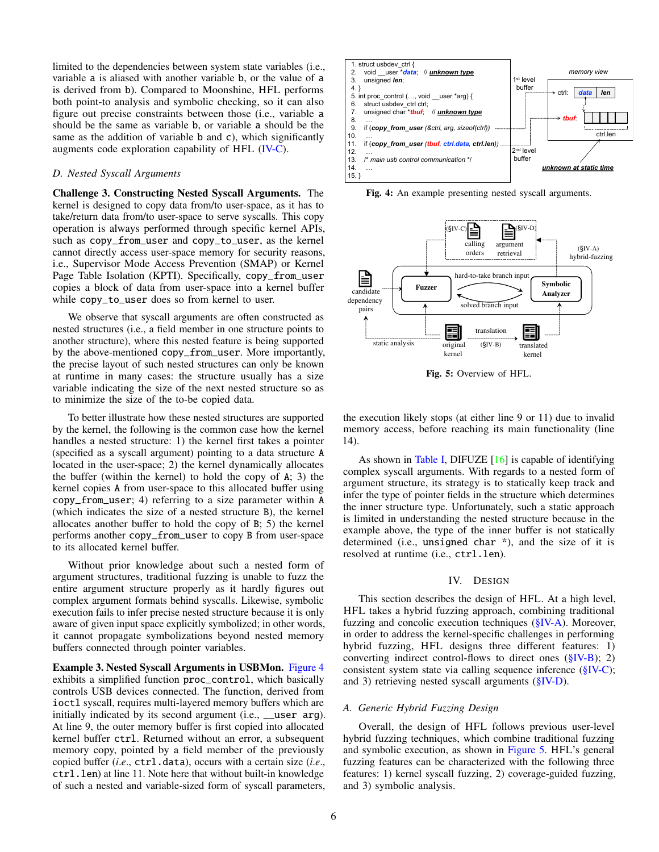limited to the dependencies between system state variables (i.e., variable a is aliased with another variable b, or the value of a is derived from b). Compared to Moonshine, HFL performs both point-to analysis and symbolic checking, so it can also figure out precise constraints between those (i.e., variable a should be the same as variable b, or variable a should be the same as the addition of variable b and c), which significantly augments code exploration capability of HFL [\(IV-C\)](#page-6-1).

# <span id="page-5-0"></span>*D. Nested Syscall Arguments*

Challenge 3. Constructing Nested Syscall Arguments. The kernel is designed to copy data from/to user-space, as it has to take/return data from/to user-space to serve syscalls. This copy operation is always performed through specific kernel APIs, such as copy\_from\_user and copy\_to\_user, as the kernel cannot directly access user-space memory for security reasons, i.e., Supervisor Mode Access Prevention (SMAP) or Kernel Page Table Isolation (KPTI). Specifically, copy\_from\_user copies a block of data from user-space into a kernel buffer while copy\_to\_user does so from kernel to user.

We observe that syscall arguments are often constructed as nested structures (i.e., a field member in one structure points to another structure), where this nested feature is being supported by the above-mentioned copy\_from\_user. More importantly, the precise layout of such nested structures can only be known at runtime in many cases: the structure usually has a size variable indicating the size of the next nested structure so as to minimize the size of the to-be copied data.

To better illustrate how these nested structures are supported by the kernel, the following is the common case how the kernel handles a nested structure: 1) the kernel first takes a pointer (specified as a syscall argument) pointing to a data structure A located in the user-space; 2) the kernel dynamically allocates the buffer (within the kernel) to hold the copy of A; 3) the kernel copies A from user-space to this allocated buffer using copy\_from\_user; 4) referring to a size parameter within A (which indicates the size of a nested structure B), the kernel allocates another buffer to hold the copy of B; 5) the kernel performs another copy\_from\_user to copy B from user-space to its allocated kernel buffer.

Without prior knowledge about such a nested form of argument structures, traditional fuzzing is unable to fuzz the entire argument structure properly as it hardly figures out complex argument formats behind syscalls. Likewise, symbolic execution fails to infer precise nested structure because it is only aware of given input space explicitly symbolized; in other words, it cannot propagate symbolizations beyond nested memory buffers connected through pointer variables.

Example 3. Nested Syscall Arguments in USBMon. [Figure 4](#page-5-2) exhibits a simplified function proc\_control, which basically controls USB devices connected. The function, derived from ioctl syscall, requires multi-layered memory buffers which are initially indicated by its second argument (i.e., \_\_user arg). At line 9, the outer memory buffer is first copied into allocated kernel buffer ctrl. Returned without an error, a subsequent memory copy, pointed by a field member of the previously copied buffer (*i*.*e*., ctrl.data), occurs with a certain size (*i*.*e*., ctrl.len) at line 11. Note here that without built-in knowledge of such a nested and variable-sized form of syscall parameters,

<span id="page-5-2"></span>

Fig. 4: An example presenting nested syscall arguments.

<span id="page-5-3"></span>

Fig. 5: Overview of HFL.

the execution likely stops (at either line 9 or 11) due to invalid memory access, before reaching its main functionality (line 14).

As shown in [Table I,](#page-3-0) DIFUZE [\[16\]](#page-14-7) is capable of identifying complex syscall arguments. With regards to a nested form of argument structure, its strategy is to statically keep track and infer the type of pointer fields in the structure which determines the inner structure type. Unfortunately, such a static approach is limited in understanding the nested structure because in the example above, the type of the inner buffer is not statically determined (i.e., unsigned char \*), and the size of it is resolved at runtime (i.e., ctrl.len).

## IV. DESIGN

This section describes the design of HFL. At a high level, HFL takes a hybrid fuzzing approach, combining traditional fuzzing and concolic execution techniques [\(§IV-A\)](#page-5-1). Moreover, in order to address the kernel-specific challenges in performing hybrid fuzzing, HFL designs three different features: 1) converting indirect control-flows to direct ones [\(§IV-B\)](#page-6-0); 2) consistent system state via calling sequence inference [\(§IV-C\)](#page-6-1); and 3) retrieving nested syscall arguments  $(\S$ <sup>IV-D</sup>).

# <span id="page-5-1"></span>*A. Generic Hybrid Fuzzing Design*

Overall, the design of HFL follows previous user-level hybrid fuzzing techniques, which combine traditional fuzzing and symbolic execution, as shown in [Figure 5.](#page-5-3) HFL's general fuzzing features can be characterized with the following three features: 1) kernel syscall fuzzing, 2) coverage-guided fuzzing, and 3) symbolic analysis.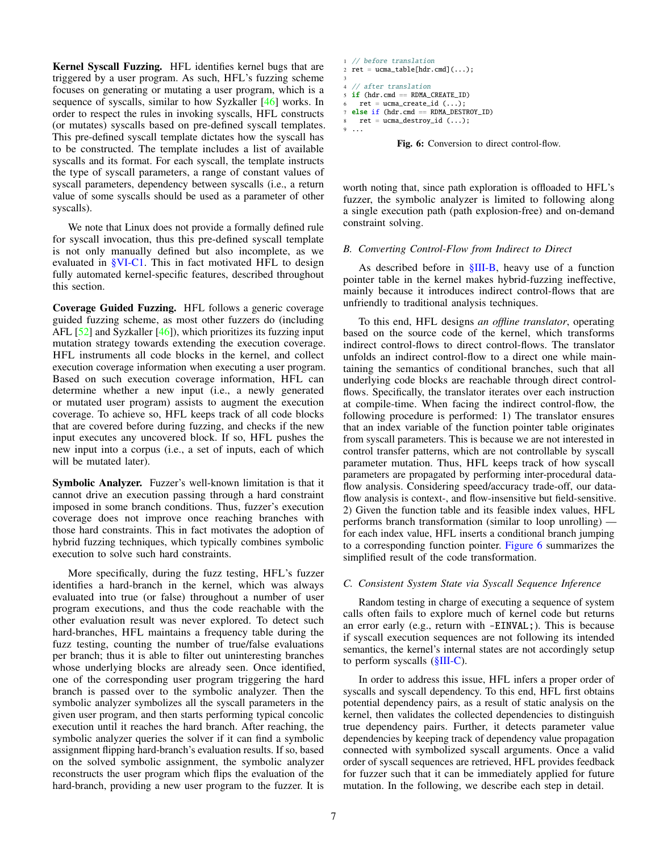Kernel Syscall Fuzzing. HFL identifies kernel bugs that are triggered by a user program. As such, HFL's fuzzing scheme focuses on generating or mutating a user program, which is a sequence of syscalls, similar to how Syzkaller [\[46\]](#page-15-0) works. In order to respect the rules in invoking syscalls, HFL constructs (or mutates) syscalls based on pre-defined syscall templates. This pre-defined syscall template dictates how the syscall has to be constructed. The template includes a list of available syscalls and its format. For each syscall, the template instructs the type of syscall parameters, a range of constant values of syscall parameters, dependency between syscalls (i.e., a return value of some syscalls should be used as a parameter of other syscalls).

We note that Linux does not provide a formally defined rule for syscall invocation, thus this pre-defined syscall template is not only manually defined but also incomplete, as we evaluated in [§VI-C1.](#page-11-0) This in fact motivated HFL to design fully automated kernel-specific features, described throughout this section.

Coverage Guided Fuzzing. HFL follows a generic coverage guided fuzzing scheme, as most other fuzzers do (including AFL  $[52]$  and Syzkaller  $[46]$ , which prioritizes its fuzzing input mutation strategy towards extending the execution coverage. HFL instruments all code blocks in the kernel, and collect execution coverage information when executing a user program. Based on such execution coverage information, HFL can determine whether a new input (i.e., a newly generated or mutated user program) assists to augment the execution coverage. To achieve so, HFL keeps track of all code blocks that are covered before during fuzzing, and checks if the new input executes any uncovered block. If so, HFL pushes the new input into a corpus (i.e., a set of inputs, each of which will be mutated later).

Symbolic Analyzer. Fuzzer's well-known limitation is that it cannot drive an execution passing through a hard constraint imposed in some branch conditions. Thus, fuzzer's execution coverage does not improve once reaching branches with those hard constraints. This in fact motivates the adoption of hybrid fuzzing techniques, which typically combines symbolic execution to solve such hard constraints.

More specifically, during the fuzz testing, HFL's fuzzer identifies a hard-branch in the kernel, which was always evaluated into true (or false) throughout a number of user program executions, and thus the code reachable with the other evaluation result was never explored. To detect such hard-branches, HFL maintains a frequency table during the fuzz testing, counting the number of true/false evaluations per branch; thus it is able to filter out uninteresting branches whose underlying blocks are already seen. Once identified, one of the corresponding user program triggering the hard branch is passed over to the symbolic analyzer. Then the symbolic analyzer symbolizes all the syscall parameters in the given user program, and then starts performing typical concolic execution until it reaches the hard branch. After reaching, the symbolic analyzer queries the solver if it can find a symbolic assignment flipping hard-branch's evaluation results. If so, based on the solved symbolic assignment, the symbolic analyzer reconstructs the user program which flips the evaluation of the hard-branch, providing a new user program to the fuzzer. It is

```
1 // before translation
2 ret = ucm = table[hdr.cmd](...);3
  // after translation
5 if (hdr.cmd == RDMA_CREATE_ID)
   ret = ucma_create_id (...);else if (hdr.cmd == RDMA_DESTROY_D)ret = ucma\_destroy\_id (...);
9 ...
```
Fig. 6: Conversion to direct control-flow.

worth noting that, since path exploration is offloaded to HFL's fuzzer, the symbolic analyzer is limited to following along a single execution path (path explosion-free) and on-demand constraint solving.

## <span id="page-6-0"></span>*B. Converting Control-Flow from Indirect to Direct*

As described before in  $$III-B$ , heavy use of a function pointer table in the kernel makes hybrid-fuzzing ineffective, mainly because it introduces indirect control-flows that are unfriendly to traditional analysis techniques.

To this end, HFL designs *an offline translator*, operating based on the source code of the kernel, which transforms indirect control-flows to direct control-flows. The translator unfolds an indirect control-flow to a direct one while maintaining the semantics of conditional branches, such that all underlying code blocks are reachable through direct controlflows. Specifically, the translator iterates over each instruction at compile-time. When facing the indirect control-flow, the following procedure is performed: 1) The translator ensures that an index variable of the function pointer table originates from syscall parameters. This is because we are not interested in control transfer patterns, which are not controllable by syscall parameter mutation. Thus, HFL keeps track of how syscall parameters are propagated by performing inter-procedural dataflow analysis. Considering speed/accuracy trade-off, our dataflow analysis is context-, and flow-insensitive but field-sensitive. 2) Given the function table and its feasible index values, HFL performs branch transformation (similar to loop unrolling) for each index value, HFL inserts a conditional branch jumping to a corresponding function pointer. [Figure 6](#page-6-2) summarizes the simplified result of the code transformation.

## <span id="page-6-1"></span>*C. Consistent System State via Syscall Sequence Inference*

Random testing in charge of executing a sequence of system calls often fails to explore much of kernel code but returns an error early (e.g., return with -EINVAL;). This is because if syscall execution sequences are not following its intended semantics, the kernel's internal states are not accordingly setup to perform syscalls [\(§III-C\)](#page-4-0).

In order to address this issue, HFL infers a proper order of syscalls and syscall dependency. To this end, HFL first obtains potential dependency pairs, as a result of static analysis on the kernel, then validates the collected dependencies to distinguish true dependency pairs. Further, it detects parameter value dependencies by keeping track of dependency value propagation connected with symbolized syscall arguments. Once a valid order of syscall sequences are retrieved, HFL provides feedback for fuzzer such that it can be immediately applied for future mutation. In the following, we describe each step in detail.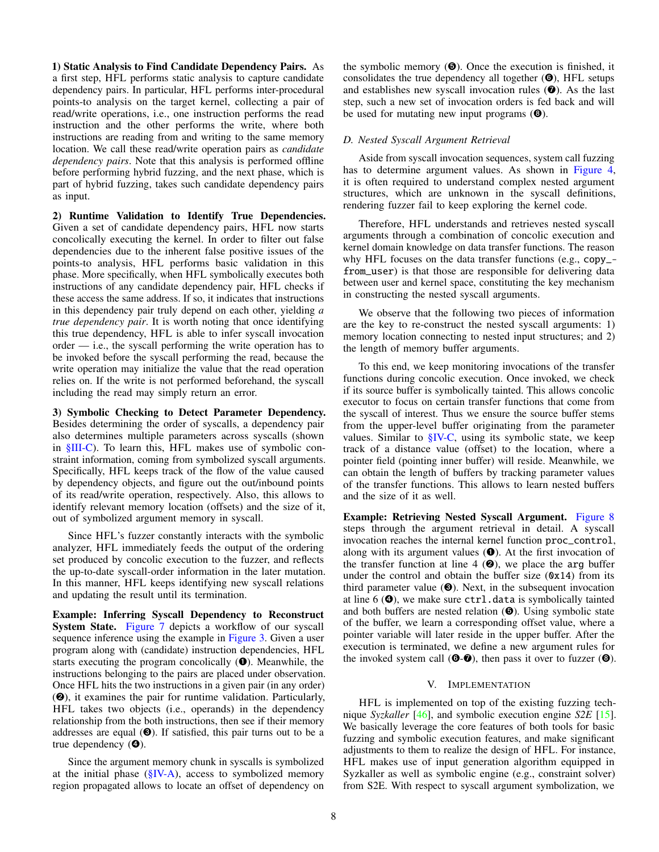1) Static Analysis to Find Candidate Dependency Pairs. As a first step, HFL performs static analysis to capture candidate dependency pairs. In particular, HFL performs inter-procedural points-to analysis on the target kernel, collecting a pair of read/write operations, i.e., one instruction performs the read instruction and the other performs the write, where both instructions are reading from and writing to the same memory location. We call these read/write operation pairs as *candidate dependency pairs*. Note that this analysis is performed offline before performing hybrid fuzzing, and the next phase, which is part of hybrid fuzzing, takes such candidate dependency pairs as input.

2) Runtime Validation to Identify True Dependencies. Given a set of candidate dependency pairs, HFL now starts concolically executing the kernel. In order to filter out false dependencies due to the inherent false positive issues of the points-to analysis, HFL performs basic validation in this phase. More specifically, when HFL symbolically executes both instructions of any candidate dependency pair, HFL checks if these access the same address. If so, it indicates that instructions in this dependency pair truly depend on each other, yielding *a true dependency pair*. It is worth noting that once identifying this true dependency, HFL is able to infer syscall invocation order — i.e., the syscall performing the write operation has to be invoked before the syscall performing the read, because the write operation may initialize the value that the read operation relies on. If the write is not performed beforehand, the syscall including the read may simply return an error.

3) Symbolic Checking to Detect Parameter Dependency. Besides determining the order of syscalls, a dependency pair also determines multiple parameters across syscalls (shown in [§III-C\)](#page-4-0). To learn this, HFL makes use of symbolic constraint information, coming from symbolized syscall arguments. Specifically, HFL keeps track of the flow of the value caused by dependency objects, and figure out the out/inbound points of its read/write operation, respectively. Also, this allows to identify relevant memory location (offsets) and the size of it, out of symbolized argument memory in syscall.

Since HFL's fuzzer constantly interacts with the symbolic analyzer, HFL immediately feeds the output of the ordering set produced by concolic execution to the fuzzer, and reflects the up-to-date syscall-order information in the later mutation. In this manner, HFL keeps identifying new syscall relations and updating the result until its termination.

Example: Inferring Syscall Dependency to Reconstruct System State. [Figure 7](#page-8-0) depicts a workflow of our syscall sequence inference using the example in [Figure 3.](#page-4-3) Given a user program along with (candidate) instruction dependencies, HFL starts executing the program concolically  $(\bullet)$ . Meanwhile, the instructions belonging to the pairs are placed under observation. Once HFL hits the two instructions in a given pair (in any order) (➋), it examines the pair for runtime validation. Particularly, HFL takes two objects (i.e., operands) in the dependency relationship from the both instructions, then see if their memory addresses are equal  $(⑤)$ . If satisfied, this pair turns out to be a true dependency  $(\mathbf{\Theta})$ .

Since the argument memory chunk in syscalls is symbolized at the initial phase  $(\frac{S}{N-A})$ , access to symbolized memory region propagated allows to locate an offset of dependency on the symbolic memory  $(\mathbf{\Theta})$ . Once the execution is finished, it consolidates the true dependency all together  $(\mathbf{\Theta})$ , HFL setups and establishes new syscall invocation rules  $(\bullet)$ . As the last step, such a new set of invocation orders is fed back and will be used for mutating new input programs  $(\mathbf{\Theta})$ .

# <span id="page-7-0"></span>*D. Nested Syscall Argument Retrieval*

Aside from syscall invocation sequences, system call fuzzing has to determine argument values. As shown in [Figure 4,](#page-5-2) it is often required to understand complex nested argument structures, which are unknown in the syscall definitions, rendering fuzzer fail to keep exploring the kernel code.

Therefore, HFL understands and retrieves nested syscall arguments through a combination of concolic execution and kernel domain knowledge on data transfer functions. The reason why HFL focuses on the data transfer functions (e.g., copy\_ from\_user) is that those are responsible for delivering data between user and kernel space, constituting the key mechanism in constructing the nested syscall arguments.

We observe that the following two pieces of information are the key to re-construct the nested syscall arguments: 1) memory location connecting to nested input structures; and 2) the length of memory buffer arguments.

To this end, we keep monitoring invocations of the transfer functions during concolic execution. Once invoked, we check if its source buffer is symbolically tainted. This allows concolic executor to focus on certain transfer functions that come from the syscall of interest. Thus we ensure the source buffer stems from the upper-level buffer originating from the parameter values. Similar to [§IV-C,](#page-6-1) using its symbolic state, we keep track of a distance value (offset) to the location, where a pointer field (pointing inner buffer) will reside. Meanwhile, we can obtain the length of buffers by tracking parameter values of the transfer functions. This allows to learn nested buffers and the size of it as well.

Example: Retrieving Nested Syscall Argument. [Figure 8](#page-8-1) steps through the argument retrieval in detail. A syscall invocation reaches the internal kernel function proc\_control, along with its argument values  $(\bullet)$ . At the first invocation of the transfer function at line 4  $(\mathbf{\Theta})$ , we place the arg buffer under the control and obtain the buffer size  $(\&0x14)$  from its third parameter value  $(\mathbf{\Theta})$ . Next, in the subsequent invocation at line  $6$  ( $\odot$ ), we make sure ctrl.data is symbolically tainted and both buffers are nested relation  $(\mathbf{\Theta})$ . Using symbolic state of the buffer, we learn a corresponding offset value, where a pointer variable will later reside in the upper buffer. After the execution is terminated, we define a new argument rules for the invoked system call  $(\mathbf{\Theta}\text{-}\mathbf{\mathcal{O}})$ , then pass it over to fuzzer  $(\mathbf{\Theta})$ .

## V. IMPLEMENTATION

HFL is implemented on top of the existing fuzzing technique *Syzkaller* [\[46\]](#page-15-0), and symbolic execution engine *S2E* [\[15\]](#page-14-4). We basically leverage the core features of both tools for basic fuzzing and symbolic execution features, and make significant adjustments to them to realize the design of HFL. For instance, HFL makes use of input generation algorithm equipped in Syzkaller as well as symbolic engine (e.g., constraint solver) from S2E. With respect to syscall argument symbolization, we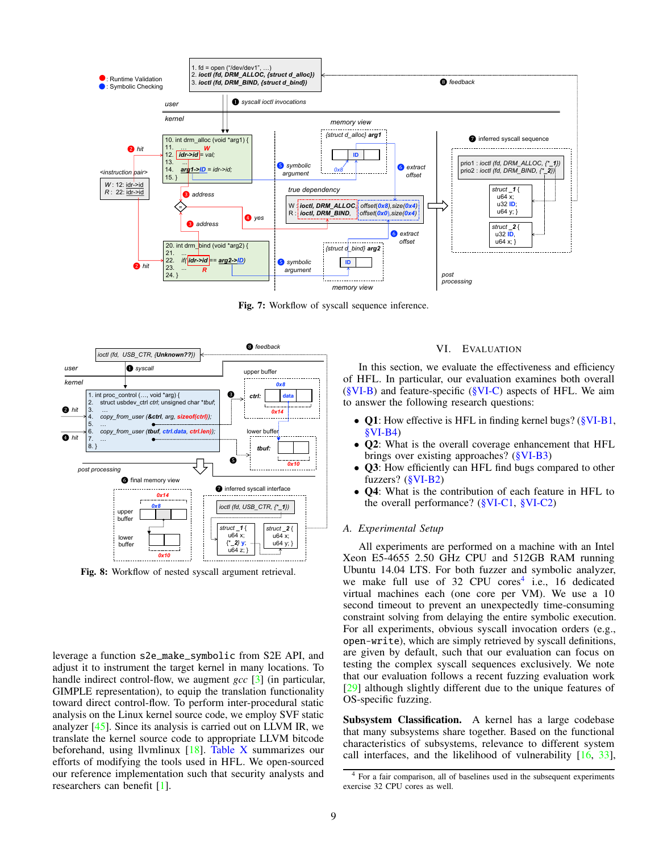<span id="page-8-0"></span>

Fig. 7: Workflow of syscall sequence inference.

<span id="page-8-1"></span>

Fig. 8: Workflow of nested syscall argument retrieval.

leverage a function s2e\_make\_symbolic from S2E API, and adjust it to instrument the target kernel in many locations. To handle indirect control-flow, we augment *gcc* [\[3\]](#page-14-10) (in particular, GIMPLE representation), to equip the translation functionality toward direct control-flow. To perform inter-procedural static analysis on the Linux kernel source code, we employ SVF static analyzer [\[45\]](#page-15-18). Since its analysis is carried out on LLVM IR, we translate the kernel source code to appropriate LLVM bitcode beforehand, using llvmlinux  $[18]$ . [Table X](#page-16-0) summarizes our efforts of modifying the tools used in HFL. We open-sourced our reference implementation such that security analysts and researchers can benefit [\[1\]](#page-14-12).

# VI. EVALUATION

In this section, we evaluate the effectiveness and efficiency of HFL. In particular, our evaluation examines both overall  $(\SVI-B)$  and feature-specific  $(\SVI-C)$  aspects of HFL. We aim to answer the following research questions:

- Q1: How effective is HFL in finding kernel bugs? [\(§VI-B1,](#page-9-1) [§VI-B4\)](#page-10-0)
- Q2: What is the overall coverage enhancement that HFL brings over existing approaches? [\(§VI-B3\)](#page-9-2)
- Q3: How efficiently can HFL find bugs compared to other fuzzers? [\(§VI-B2\)](#page-9-3)
- Q4: What is the contribution of each feature in HFL to the overall performance? [\(§VI-C1,](#page-11-0) [§VI-C2\)](#page-12-0)

## *A. Experimental Setup*

All experiments are performed on a machine with an Intel Xeon E5-4655 2.50 GHz CPU and 512GB RAM running Ubuntu 14.04 LTS. For both fuzzer and symbolic analyzer, we make full use of 32 CPU cores<sup>[4](#page-8-2)</sup> i.e., 16 dedicated virtual machines each (one core per VM). We use a 10 second timeout to prevent an unexpectedly time-consuming constraint solving from delaying the entire symbolic execution. For all experiments, obvious syscall invocation orders (e.g., open-write), which are simply retrieved by syscall definitions, are given by default, such that our evaluation can focus on testing the complex syscall sequences exclusively. We note that our evaluation follows a recent fuzzing evaluation work [\[29\]](#page-14-13) although slightly different due to the unique features of OS-specific fuzzing.

Subsystem Classification. A kernel has a large codebase that many subsystems share together. Based on the functional characteristics of subsystems, relevance to different system call interfaces, and the likelihood of vulnerability [\[16,](#page-14-7) [33\]](#page-15-15),

<span id="page-8-2"></span><sup>4</sup> For a fair comparison, all of baselines used in the subsequent experiments exercise 32 CPU cores as well.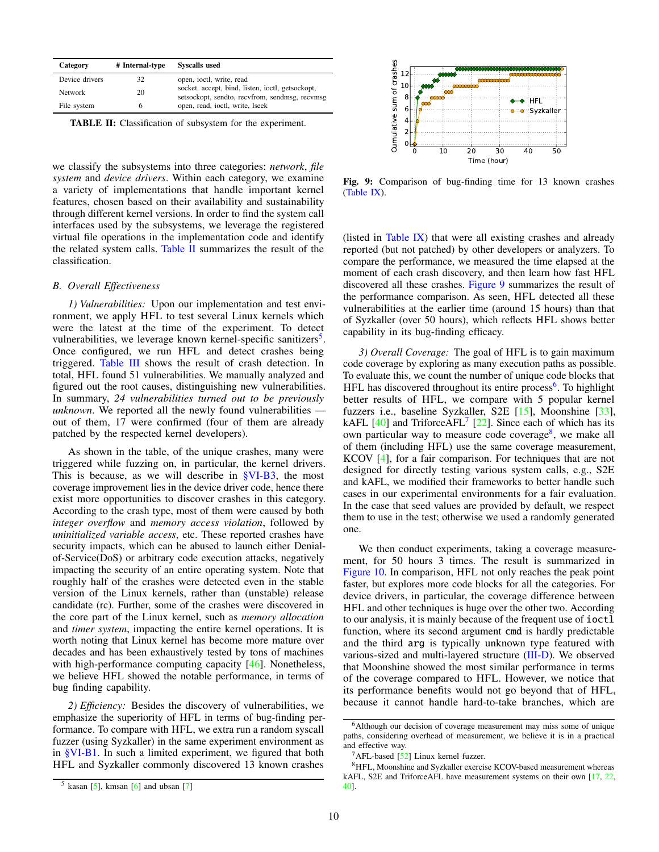<span id="page-9-4"></span>

| Category       | # Internal-type | <b>Syscalls</b> used                                                                               |
|----------------|-----------------|----------------------------------------------------------------------------------------------------|
| Device drivers | 32              | open, joctl, write, read                                                                           |
| Network        | 20              | socket, accept, bind, listen, joctl, getsockopt,<br>setsockopt, sendto, recvfrom, sendmsg, recvmsg |
| File system    |                 | open, read, joctl, write, lseek                                                                    |

TABLE II: Classification of subsystem for the experiment.

we classify the subsystems into three categories: *network*, *file system* and *device drivers*. Within each category, we examine a variety of implementations that handle important kernel features, chosen based on their availability and sustainability through different kernel versions. In order to find the system call interfaces used by the subsystems, we leverage the registered virtual file operations in the implementation code and identify the related system calls. [Table II](#page-9-4) summarizes the result of the classification.

#### <span id="page-9-0"></span>*B. Overall Effectiveness*

<span id="page-9-1"></span>*1) Vulnerabilities:* Upon our implementation and test environment, we apply HFL to test several Linux kernels which were the latest at the time of the experiment. To detect vulnerabilities, we leverage known kernel-specific sanitizers<sup>[5](#page-9-5)</sup>. Once configured, we run HFL and detect crashes being triggered. [Table III](#page-10-1) shows the result of crash detection. In total, HFL found 51 vulnerabilities. We manually analyzed and figured out the root causes, distinguishing new vulnerabilities. In summary, *24 vulnerabilities turned out to be previously unknown*. We reported all the newly found vulnerabilities out of them, 17 were confirmed (four of them are already patched by the respected kernel developers).

As shown in the table, of the unique crashes, many were triggered while fuzzing on, in particular, the kernel drivers. This is because, as we will describe in  $\frac{\text{SVI-B3}}{\text{SVI}}$ , the most coverage improvement lies in the device driver code, hence there exist more opportunities to discover crashes in this category. According to the crash type, most of them were caused by both *integer overflow* and *memory access violation*, followed by *uninitialized variable access*, etc. These reported crashes have security impacts, which can be abused to launch either Denialof-Service(DoS) or arbitrary code execution attacks, negatively impacting the security of an entire operating system. Note that roughly half of the crashes were detected even in the stable version of the Linux kernels, rather than (unstable) release candidate (rc). Further, some of the crashes were discovered in the core part of the Linux kernel, such as *memory allocation* and *timer system*, impacting the entire kernel operations. It is worth noting that Linux kernel has become more mature over decades and has been exhaustively tested by tons of machines with high-performance computing capacity [\[46\]](#page-15-0). Nonetheless, we believe HFL showed the notable performance, in terms of bug finding capability.

<span id="page-9-3"></span>*2) Efficiency:* Besides the discovery of vulnerabilities, we emphasize the superiority of HFL in terms of bug-finding performance. To compare with HFL, we extra run a random syscall fuzzer (using Syzkaller) in the same experiment environment as in [§VI-B1.](#page-9-1) In such a limited experiment, we figured that both HFL and Syzkaller commonly discovered 13 known crashes

<span id="page-9-6"></span>

Fig. 9: Comparison of bug-finding time for 13 known crashes [\(Table IX\)](#page-16-1).

(listed in [Table IX\)](#page-16-1) that were all existing crashes and already reported (but not patched) by other developers or analyzers. To compare the performance, we measured the time elapsed at the moment of each crash discovery, and then learn how fast HFL discovered all these crashes. [Figure 9](#page-9-6) summarizes the result of the performance comparison. As seen, HFL detected all these vulnerabilities at the earlier time (around 15 hours) than that of Syzkaller (over 50 hours), which reflects HFL shows better capability in its bug-finding efficacy.

<span id="page-9-2"></span>*3) Overall Coverage:* The goal of HFL is to gain maximum code coverage by exploring as many execution paths as possible. To evaluate this, we count the number of unique code blocks that HFL has discovered throughout its entire process<sup>[6](#page-9-7)</sup>. To highlight better results of HFL, we compare with 5 popular kernel fuzzers i.e., baseline Syzkaller, S2E [\[15\]](#page-14-4), Moonshine [\[33\]](#page-15-15), kAFL  $[40]$  and TriforceAFL<sup>[7](#page-9-8)</sup> [\[22\]](#page-14-17). Since each of which has its own particular way to measure code coverage<sup>[8](#page-9-9)</sup>, we make all of them (including HFL) use the same coverage measurement, KCOV [\[4\]](#page-14-18), for a fair comparison. For techniques that are not designed for directly testing various system calls, e.g., S2E and kAFL, we modified their frameworks to better handle such cases in our experimental environments for a fair evaluation. In the case that seed values are provided by default, we respect them to use in the test; otherwise we used a randomly generated one.

We then conduct experiments, taking a coverage measurement, for 50 hours 3 times. The result is summarized in [Figure 10.](#page-11-2) In comparison, HFL not only reaches the peak point faster, but explores more code blocks for all the categories. For device drivers, in particular, the coverage difference between HFL and other techniques is huge over the other two. According to our analysis, it is mainly because of the frequent use of ioctl function, where its second argument cmd is hardly predictable and the third arg is typically unknown type featured with various-sized and multi-layered structure [\(III-D\)](#page-5-0). We observed that Moonshine showed the most similar performance in terms of the coverage compared to HFL. However, we notice that its performance benefits would not go beyond that of HFL, because it cannot handle hard-to-take branches, which are

<span id="page-9-5"></span> $<sup>5</sup>$  kasan [\[5\]](#page-14-14), kmsan [\[6\]](#page-14-15) and ubsan [\[7\]](#page-14-16)</sup>

<span id="page-9-7"></span><sup>6</sup>Although our decision of coverage measurement may miss some of unique paths, considering overhead of measurement, we believe it is in a practical and effective way.

<span id="page-9-9"></span><span id="page-9-8"></span> $7$ AFL-based [\[52\]](#page-15-1) Linux kernel fuzzer.

<sup>8</sup>HFL, Moonshine and Syzkaller exercise KCOV-based measurement whereas kAFL, S2E and TriforceAFL have measurement systems on their own [\[17,](#page-14-19) [22,](#page-14-17) [40\]](#page-15-12).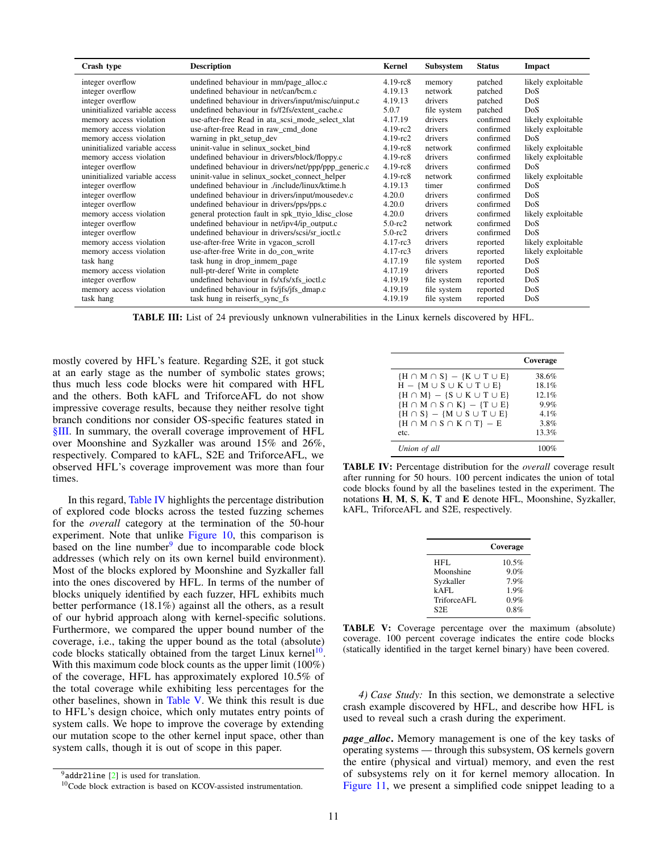<span id="page-10-1"></span>

| Crash type                    | <b>Description</b>                                   | Kernel         | Subsystem   | <b>Status</b> | Impact             |
|-------------------------------|------------------------------------------------------|----------------|-------------|---------------|--------------------|
| integer overflow              | undefined behaviour in mm/page_alloc.c               | $4.19$ - $rc8$ | memory      | patched       | likely exploitable |
| integer overflow              | undefined behaviour in net/can/bcm.c                 | 4.19.13        | network     | patched       | DoS                |
| integer overflow              | undefined behaviour in drivers/input/misc/uinput.c   | 4.19.13        | drivers     | patched       | <b>DoS</b>         |
| uninitialized variable access | undefined behaviour in fs/f2fs/extent cache.c        | 5.0.7          | file system | patched       | DoS                |
| memory access violation       | use-after-free Read in ata_scsi_mode_select_xlat     | 4.17.19        | drivers     | confirmed     | likely exploitable |
| memory access violation       | use-after-free Read in raw cmd done                  | $4.19$ -rc $2$ | drivers     | confirmed     | likely exploitable |
| memory access violation       | warning in pkt_setup_dev                             | $4.19$ -rc $2$ | drivers     | confirmed     | DoS                |
| uninitialized variable access | uninit-value in selinux_socket_bind                  | $4.19$ - $rc8$ | network     | confirmed     | likely exploitable |
| memory access violation       | undefined behaviour in drivers/block/floppy.c        | $4.19$ - $rc8$ | drivers     | confirmed     | likely exploitable |
| integer overflow              | undefined behaviour in drivers/net/ppp/ppp_generic.c | $4.19$ - $rc8$ | drivers     | confirmed     | DoS                |
| uninitialized variable access | uninit-value in selinux_socket_connect_helper        | $4.19$ - $rc8$ | network     | confirmed     | likely exploitable |
| integer overflow              | undefined behaviour in /include/linux/ktime.h        | 4.19.13        | timer       | confirmed     | Do <sub>S</sub>    |
| integer overflow              | undefined behaviour in drivers/input/mousedev.c      | 4.20.0         | drivers     | confirmed     | DoS                |
| integer overflow              | undefined behaviour in drivers/pps/pps.c             | 4.20.0         | drivers     | confirmed     | DoS                |
| memory access violation       | general protection fault in spk_ttyio_ldisc_close    | 4.20.0         | drivers     | confirmed     | likely exploitable |
| integer overflow              | undefined behaviour in net/ipv4/ip_output.c          | $5.0$ -rc $2$  | network     | confirmed     | DoS                |
| integer overflow              | undefined behaviour in drivers/scsi/sr ioctl.c       | $5.0$ -rc $2$  | drivers     | confirmed     | Do <sub>S</sub>    |
| memory access violation       | use-after-free Write in vgacon_scroll                | $4.17 - rc3$   | drivers     | reported      | likely exploitable |
| memory access violation       | use-after-free Write in do con write                 | $4.17$ -rc $3$ | drivers     | reported      | likely exploitable |
| task hang                     | task hung in drop_inmem_page                         | 4.17.19        | file system | reported      | DoS                |
| memory access violation       | null-ptr-deref Write in complete                     | 4.17.19        | drivers     | reported      | DoS                |
| integer overflow              | undefined behaviour in fs/xfs/xfs ioctl.c            | 4.19.19        | file system | reported      | DoS                |
| memory access violation       | undefined behaviour in fs/jfs/jfs_dmap.c             | 4.19.19        | file system | reported      | DoS                |
| task hang                     | task hung in reiserfs_sync_fs                        | 4.19.19        | file system | reported      | DoS                |

TABLE III: List of 24 previously unknown vulnerabilities in the Linux kernels discovered by HFL.

mostly covered by HFL's feature. Regarding S2E, it got stuck at an early stage as the number of symbolic states grows; thus much less code blocks were hit compared with HFL and the others. Both kAFL and TriforceAFL do not show impressive coverage results, because they neither resolve tight branch conditions nor consider OS-specific features stated in [§III.](#page-2-1) In summary, the overall coverage improvement of HFL over Moonshine and Syzkaller was around 15% and 26%, respectively. Compared to kAFL, S2E and TriforceAFL, we observed HFL's coverage improvement was more than four times.

In this regard, [Table IV](#page-10-2) highlights the percentage distribution of explored code blocks across the tested fuzzing schemes for the *overall* category at the termination of the 50-hour experiment. Note that unlike [Figure 10,](#page-11-2) this comparison is based on the line number  $\theta$  due to incomparable code block addresses (which rely on its own kernel build environment). Most of the blocks explored by Moonshine and Syzkaller fall into the ones discovered by HFL. In terms of the number of blocks uniquely identified by each fuzzer, HFL exhibits much better performance (18.1%) against all the others, as a result of our hybrid approach along with kernel-specific solutions. Furthermore, we compared the upper bound number of the coverage, i.e., taking the upper bound as the total (absolute) code blocks statically obtained from the target Linux kernel<sup>[10](#page-10-4)</sup>. With this maximum code block counts as the upper limit (100%) of the coverage, HFL has approximately explored 10.5% of the total coverage while exhibiting less percentages for the other baselines, shown in [Table V.](#page-10-5) We think this result is due to HFL's design choice, which only mutates entry points of system calls. We hope to improve the coverage by extending our mutation scope to the other kernel input space, other than system calls, though it is out of scope in this paper.

<span id="page-10-2"></span>

|                                                                                                                                                                                                                                                                        | Coverage                                                    |
|------------------------------------------------------------------------------------------------------------------------------------------------------------------------------------------------------------------------------------------------------------------------|-------------------------------------------------------------|
| ${H \cap M \cap S} - {K \cup T \cup E}$<br>$H - {M \cup S \cup K \cup T \cup E}$<br>${H \cap M} - {S \cup K \cup T \cup E}$<br>$\{H \cap M \cap S \cap K\} - \{T \cup E\}$<br>${H \cap S} - {M \cup S \cup T \cup E}$<br>${H \cap M \cap S \cap K \cap T} - E$<br>etc. | 38.6%<br>18.1%<br>12.1%<br>9.9%<br>$4.1\%$<br>3.8%<br>13.3% |
| Union of all                                                                                                                                                                                                                                                           | 100%                                                        |

<span id="page-10-5"></span>TABLE IV: Percentage distribution for the *overall* coverage result after running for 50 hours. 100 percent indicates the union of total code blocks found by all the baselines tested in the experiment. The notations H, M, S, K, T and E denote HFL, Moonshine, Syzkaller, kAFL, TriforceAFL and S2E, respectively.

|             | Coverage |
|-------------|----------|
| HFL         | 10.5%    |
| Moonshine   | 9.0%     |
| Syzkaller   | 7.9%     |
| $k$ AFL     | 1.9%     |
| TriforceAFL | $0.9\%$  |
| S2E         | 0.8%     |

TABLE V: Coverage percentage over the maximum (absolute) coverage. 100 percent coverage indicates the entire code blocks (statically identified in the target kernel binary) have been covered.

<span id="page-10-0"></span>*4) Case Study:* In this section, we demonstrate a selective crash example discovered by HFL, and describe how HFL is used to reveal such a crash during the experiment.

*page\_alloc*. Memory management is one of the key tasks of operating systems — through this subsystem, OS kernels govern the entire (physical and virtual) memory, and even the rest of subsystems rely on it for kernel memory allocation. In [Figure 11,](#page-11-3) we present a simplified code snippet leading to a

<span id="page-10-3"></span> $9^9$ addr21ine [\[2\]](#page-14-20) is used for translation.

<span id="page-10-4"></span><sup>10</sup>Code block extraction is based on KCOV-assisted instrumentation.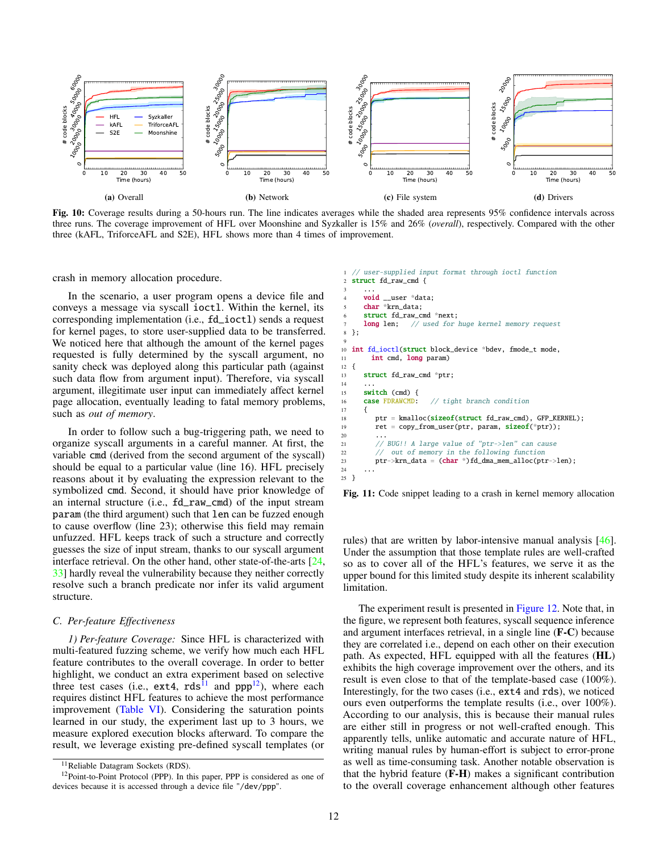<span id="page-11-2"></span>

Fig. 10: Coverage results during a 50-hours run. The line indicates averages while the shaded area represents 95% confidence intervals across three runs. The coverage improvement of HFL over Moonshine and Syzkaller is 15% and 26% (*overall*), respectively. Compared with the other three (kAFL, TriforceAFL and S2E), HFL shows more than 4 times of improvement.

crash in memory allocation procedure.

In the scenario, a user program opens a device file and conveys a message via syscall ioctl. Within the kernel, its corresponding implementation (i.e., fd\_ioctl) sends a request for kernel pages, to store user-supplied data to be transferred. We noticed here that although the amount of the kernel pages requested is fully determined by the syscall argument, no sanity check was deployed along this particular path (against such data flow from argument input). Therefore, via syscall argument, illegitimate user input can immediately affect kernel page allocation, eventually leading to fatal memory problems, such as *out of memory*.

In order to follow such a bug-triggering path, we need to organize syscall arguments in a careful manner. At first, the variable cmd (derived from the second argument of the syscall) should be equal to a particular value (line 16). HFL precisely reasons about it by evaluating the expression relevant to the symbolized cmd. Second, it should have prior knowledge of an internal structure (i.e., fd\_raw\_cmd) of the input stream param (the third argument) such that len can be fuzzed enough to cause overflow (line 23); otherwise this field may remain unfuzzed. HFL keeps track of such a structure and correctly guesses the size of input stream, thanks to our syscall argument interface retrieval. On the other hand, other state-of-the-arts [\[24,](#page-14-8) [33\]](#page-15-15) hardly reveal the vulnerability because they neither correctly resolve such a branch predicate nor infer its valid argument structure.

## <span id="page-11-1"></span>*C. Per-feature Effectiveness*

<span id="page-11-0"></span>*1) Per-feature Coverage:* Since HFL is characterized with multi-featured fuzzing scheme, we verify how much each HFL feature contributes to the overall coverage. In order to better highlight, we conduct an extra experiment based on selective three test cases (i.e.,  $ext{ext}4$ ,  $rds^{\hat{1}1}$  and  $ppp^{12}$  $ppp^{12}$  $ppp^{12}$ ), where each requires distinct HFL features to achieve the most performance improvement [\(Table VI\)](#page-12-1). Considering the saturation points learned in our study, the experiment last up to 3 hours, we measure explored execution blocks afterward. To compare the result, we leverage existing pre-defined syscall templates (or

#### <span id="page-11-3"></span>// user-supplied input format through ioctl function struct fd\_raw\_cmd {

```
3 \cdot \cdot \cdotvoid __user *data;
       char *krn data:
       struct fd_raw_cmd *next;<br>long len: // used for
                    // used for huge kernel memory request
8 };
 9
10 int fd_ioctl(struct block_device *bdev, fmode_t mode,
11 int cmd, long param)
\frac{12}{13}struct fd_raw_cmd *ptr;
\frac{14}{15}15 switch (cmd) {<br>16 case FDRAWCMD:
                          // tight branch condition
17 {
18 ptr = kmalloc(sizeof(struct fd_raw_cmd), GFP_KERNEL);
19 ret = copy_from_user(ptr, param, sizeof(*ptr));
20 ...
21 // BUG!! A large value of "ptr->len" can cause
22 // out of memory in the following function<br>23 ptr->krn_data = (char *)fd_dma_mem_alloc(ption
          ptr->krn_data = (char *')fd\_dma\_mem\_alloc(ptr->len);
24 ...
25 }
```
Fig. 11: Code snippet leading to a crash in kernel memory allocation

rules) that are written by labor-intensive manual analysis [\[46\]](#page-15-0). Under the assumption that those template rules are well-crafted so as to cover all of the HFL's features, we serve it as the upper bound for this limited study despite its inherent scalability limitation.

The experiment result is presented in [Figure 12.](#page-12-2) Note that, in the figure, we represent both features, syscall sequence inference and argument interfaces retrieval, in a single line (F-C) because they are correlated i.e., depend on each other on their execution path. As expected, HFL equipped with all the features (HL) exhibits the high coverage improvement over the others, and its result is even close to that of the template-based case (100%). Interestingly, for the two cases (i.e., ext4 and rds), we noticed ours even outperforms the template results (i.e., over 100%). According to our analysis, this is because their manual rules are either still in progress or not well-crafted enough. This apparently tells, unlike automatic and accurate nature of HFL, writing manual rules by human-effort is subject to error-prone as well as time-consuming task. Another notable observation is that the hybrid feature (F-H) makes a significant contribution to the overall coverage enhancement although other features

<span id="page-11-5"></span><span id="page-11-4"></span><sup>&</sup>lt;sup>11</sup>Reliable Datagram Sockets (RDS).

<sup>&</sup>lt;sup>12</sup>Point-to-Point Protocol (PPP). In this paper, PPP is considered as one of devices because it is accessed through a device file "/dev/ppp".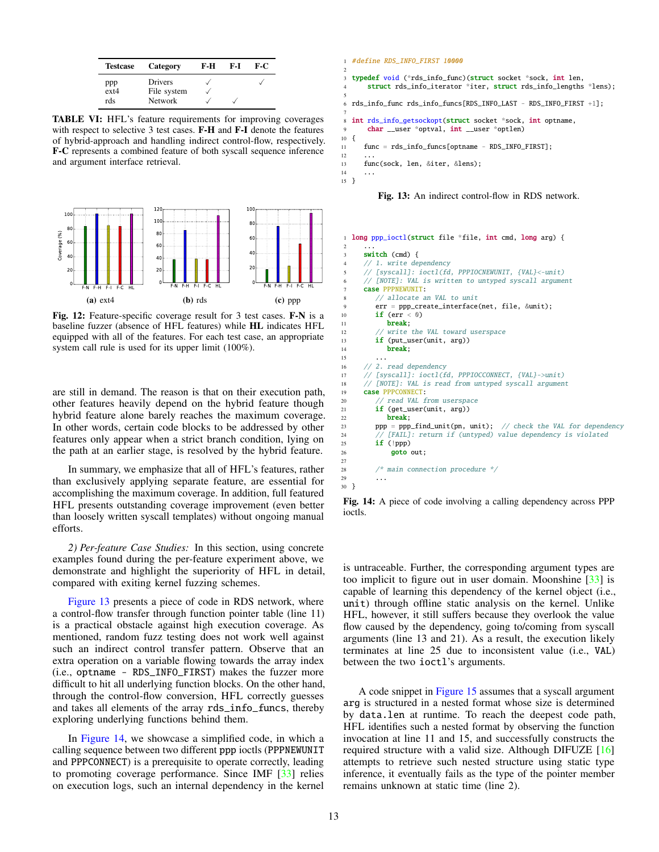<span id="page-12-1"></span>

| <b>Testcase</b>           | Category                                 | F-H | F-I | F-C |
|---------------------------|------------------------------------------|-----|-----|-----|
| ppp<br>$ext{ex}t4$<br>rds | Drivers<br>File system<br><b>Network</b> |     |     |     |

TABLE VI: HFL's feature requirements for improving coverages with respect to selective 3 test cases. F-H and F-I denote the features of hybrid-approach and handling indirect control-flow, respectively. F-C represents a combined feature of both syscall sequence inference and argument interface retrieval.

<span id="page-12-2"></span>

Fig. 12: Feature-specific coverage result for 3 test cases. F-N is a baseline fuzzer (absence of HFL features) while HL indicates HFL equipped with all of the features. For each test case, an appropriate system call rule is used for its upper limit (100%).

are still in demand. The reason is that on their execution path, other features heavily depend on the hybrid feature though hybrid feature alone barely reaches the maximum coverage. In other words, certain code blocks to be addressed by other features only appear when a strict branch condition, lying on the path at an earlier stage, is resolved by the hybrid feature.

In summary, we emphasize that all of HFL's features, rather than exclusively applying separate feature, are essential for accomplishing the maximum coverage. In addition, full featured HFL presents outstanding coverage improvement (even better than loosely written syscall templates) without ongoing manual efforts.

<span id="page-12-0"></span>*2) Per-feature Case Studies:* In this section, using concrete examples found during the per-feature experiment above, we demonstrate and highlight the superiority of HFL in detail, compared with exiting kernel fuzzing schemes.

[Figure 13](#page-12-3) presents a piece of code in RDS network, where a control-flow transfer through function pointer table (line 11) is a practical obstacle against high execution coverage. As mentioned, random fuzz testing does not work well against such an indirect control transfer pattern. Observe that an extra operation on a variable flowing towards the array index (i.e., optname - RDS\_INFO\_FIRST) makes the fuzzer more difficult to hit all underlying function blocks. On the other hand, through the control-flow conversion, HFL correctly guesses and takes all elements of the array rds\_info\_funcs, thereby exploring underlying functions behind them.

In [Figure 14,](#page-12-4) we showcase a simplified code, in which a calling sequence between two different ppp ioctls (PPPNEWUNIT and PPPCONNECT) is a prerequisite to operate correctly, leading to promoting coverage performance. Since IMF [\[33\]](#page-15-15) relies on execution logs, such an internal dependency in the kernel

#### <span id="page-12-3"></span>1 #define RDS\_INFO\_FIRST 10000

```
2
3 typedef void (*rds_info_func)(struct socket *sock, int len,
      struct rds_info_iterator *iter, struct rds_info_lengths *lens);
 5
6 rds info func rds info funcs[RDS_INFO_LAST - RDS_INFO_FIRST +11;
 7
8 int rds_info_getsockopt(struct socket *sock, int optname,
9 char __user *optval, int __user *optlen)
10 {
11 func = rds_info_funcs[optname - RDS_INFO_FIRST];
12<br>13func(sock, len, &iter, &lens);
14
15 }
```
Fig. 13: An indirect control-flow in RDS network.

```
long ppp_ioctl(struct file *file, int cmd, long arg) {
 2 ...
       switch (cmd) {
       // 1. write dependency
       5 // [syscall]: ioctl(fd, PPPIOCNEWUNIT, {VAL}<-unit)
       6 // [NOTE]: VAL is written to untyped syscall argument
       case PPPNEWUNIT:
           // allocate an VAL to unit
           9 err = ppp_create_interface(net, file, &unit);
10 if (err < 0)<br>11 break:
               break:
12 // write the VAL toward userspace
13 if (put_user(unit, arg))
14 break;
15 \quad . . .16 // 2. read dependency
17 // [syscall]: ioctl(fd, PPPIOCCONNECT, {VAL}->unit)
       18 // [NOTE]: VAL is read from untyped syscall argument
19 case PPPCONNECT:<br>20 // read VAL f
20 // read VAL from userspace<br>21 if (get user(unit. arg))
           if (get_user(unit, arg))
22 break;<br>23 ppp = ppp.
           ppp = ppp\_find\_unit(pn, unit); // check the VAL for dependency
24 // [FAIL]: return if (untyped) value dependency is violated
25 if (!ppp)
26 goto out;
28 \frac{1}{2} \frac{1}{2} \frac{1}{2} \frac{1}{2} \frac{1}{2} \frac{1}{2} \frac{1}{2} \frac{1}{2} \frac{1}{2} \frac{1}{2} \frac{1}{2} \frac{1}{2} \frac{1}{2} \frac{1}{2} \frac{1}{2} \frac{1}{2} \frac{1}{2} \frac{1}{2} \frac{1}{2} \frac{1}{2} \frac{1}{2} \frac{1}{2}30 }
```
Fig. 14: A piece of code involving a calling dependency across PPP ioctls.

is untraceable. Further, the corresponding argument types are too implicit to figure out in user domain. Moonshine [\[33\]](#page-15-15) is capable of learning this dependency of the kernel object (i.e., unit) through offline static analysis on the kernel. Unlike HFL, however, it still suffers because they overlook the value flow caused by the dependency, going to/coming from syscall arguments (line 13 and 21). As a result, the execution likely terminates at line 25 due to inconsistent value (i.e., VAL) between the two ioctl's arguments.

A code snippet in [Figure 15](#page-13-0) assumes that a syscall argument arg is structured in a nested format whose size is determined by data.len at runtime. To reach the deepest code path, HFL identifies such a nested format by observing the function invocation at line 11 and 15, and successfully constructs the required structure with a valid size. Although DIFUZE [\[16\]](#page-14-7) attempts to retrieve such nested structure using static type inference, it eventually fails as the type of the pointer member remains unknown at static time (line 2).

27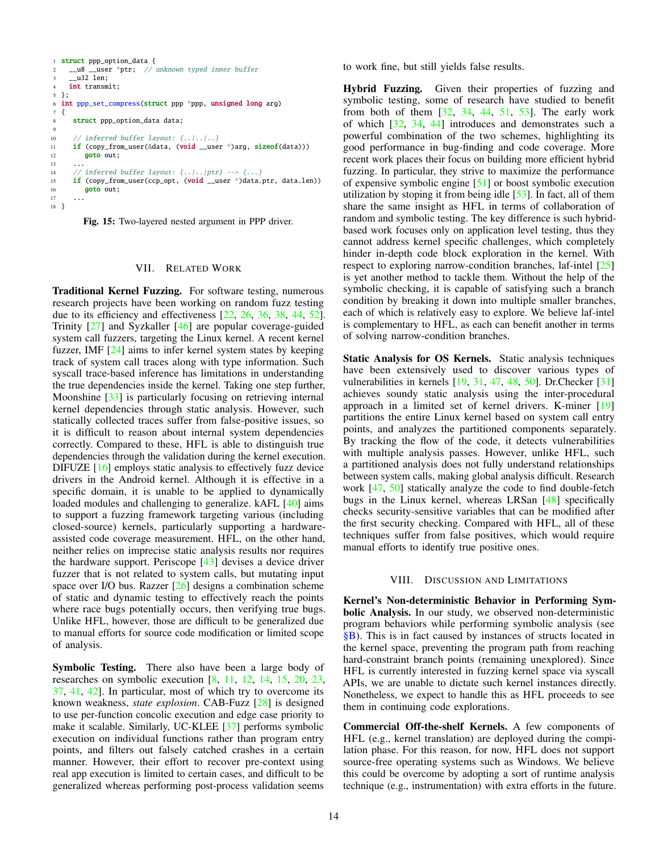```
1 struct ppp_option_data {
2 __u8 __user *ptr; // unknown typed inner buffer
3 __u32 len;
4 int transmit;
5 };
6 int ppp_set_compress(struct ppp *ppp, unsigned long arg)
7 {
8 struct ppp_option_data data;
\mathbf{o}10 // inferred buffer layout: {..|..|..}
11 if (copy_from_user(&data, (void __user *)arg, sizeof(data)))
12 goto out;
13 ...
14 // inferred buffer layout: {..|..|ptr} --> {...}
15 if (copy_from_user(ccp_opt, (void __user *)data.ptr, data.len))
16 goto out;
17 ...
18 }
```


#### VII. RELATED WORK

Traditional Kernel Fuzzing. For software testing, numerous research projects have been working on random fuzz testing due to its efficiency and effectiveness [\[22,](#page-14-17) [26,](#page-14-6) [36,](#page-15-3) [38,](#page-15-4) [44,](#page-15-8) [52\]](#page-15-1). Trinity [\[27\]](#page-14-21) and Syzkaller [\[46\]](#page-15-0) are popular coverage-guided system call fuzzers, targeting the Linux kernel. A recent kernel fuzzer, IMF [\[24\]](#page-14-8) aims to infer kernel system states by keeping track of system call traces along with type information. Such syscall trace-based inference has limitations in understanding the true dependencies inside the kernel. Taking one step further, Moonshine [\[33\]](#page-15-15) is particularly focusing on retrieving internal kernel dependencies through static analysis. However, such statically collected traces suffer from false-positive issues, so it is difficult to reason about internal system dependencies correctly. Compared to these, HFL is able to distinguish true dependencies through the validation during the kernel execution. DIFUZE [\[16\]](#page-14-7) employs static analysis to effectively fuzz device drivers in the Android kernel. Although it is effective in a specific domain, it is unable to be applied to dynamically loaded modules and challenging to generalize. kAFL [\[40\]](#page-15-12) aims to support a fuzzing framework targeting various (including closed-source) kernels, particularly supporting a hardwareassisted code coverage measurement. HFL, on the other hand, neither relies on imprecise static analysis results nor requires the hardware support. Periscope [\[43\]](#page-15-13) devises a device driver fuzzer that is not related to system calls, but mutating input space over I/O bus. Razzer [\[26\]](#page-14-6) designs a combination scheme of static and dynamic testing to effectively reach the points where race bugs potentially occurs, then verifying true bugs. Unlike HFL, however, those are difficult to be generalized due to manual efforts for source code modification or limited scope of analysis.

Symbolic Testing. There also have been a large body of researches on symbolic execution [\[8,](#page-14-22) [11,](#page-14-3) [12,](#page-14-23) [14,](#page-14-24) [15,](#page-14-4) [20,](#page-14-25) [23,](#page-14-26) [37,](#page-15-5) [41,](#page-15-19) [42\]](#page-15-20). In particular, most of which try to overcome its known weakness, *state explosion*. CAB-Fuzz [\[28\]](#page-14-5) is designed to use per-function concolic execution and edge case priority to make it scalable. Similarly, UC-KLEE [\[37\]](#page-15-5) performs symbolic execution on individual functions rather than program entry points, and filters out falsely catched crashes in a certain manner. However, their effort to recover pre-context using real app execution is limited to certain cases, and difficult to be generalized whereas performing post-process validation seems

to work fine, but still yields false results.

Hybrid Fuzzing. Given their properties of fuzzing and symbolic testing, some of research have studied to benefit from both of them [\[32,](#page-15-6) [34,](#page-15-7) [44,](#page-15-8) [51,](#page-15-9) [53\]](#page-15-10). The early work of which [\[32,](#page-15-6) [34,](#page-15-7) [44\]](#page-15-8) introduces and demonstrates such a powerful combination of the two schemes, highlighting its good performance in bug-finding and code coverage. More recent work places their focus on building more efficient hybrid fuzzing. In particular, they strive to maximize the performance of expensive symbolic engine [\[51\]](#page-15-9) or boost symbolic execution utilization by stoping it from being idle [\[53\]](#page-15-10). In fact, all of them share the same insight as HFL in terms of collaboration of random and symbolic testing. The key difference is such hybridbased work focuses only on application level testing, thus they cannot address kernel specific challenges, which completely hinder in-depth code block exploration in the kernel. With respect to exploring narrow-condition branches, laf-intel [\[25\]](#page-14-27) is yet another method to tackle them. Without the help of the symbolic checking, it is capable of satisfying such a branch condition by breaking it down into multiple smaller branches, each of which is relatively easy to explore. We believe laf-intel is complementary to HFL, as each can benefit another in terms of solving narrow-condition branches.

Static Analysis for OS Kernels. Static analysis techniques have been extensively used to discover various types of vulnerabilities in kernels [\[19,](#page-14-28) [31,](#page-15-21) [47,](#page-15-22) [48,](#page-15-23) [50\]](#page-15-24). Dr.Checker [\[31\]](#page-15-21) achieves soundy static analysis using the inter-procedural approach in a limited set of kernel drivers. K-miner [\[19\]](#page-14-28) partitions the entire Linux kernel based on system call entry points, and analyzes the partitioned components separately. By tracking the flow of the code, it detects vulnerabilities with multiple analysis passes. However, unlike HFL, such a partitioned analysis does not fully understand relationships between system calls, making global analysis difficult. Research work [\[47,](#page-15-22) [50\]](#page-15-24) statically analyze the code to find double-fetch bugs in the Linux kernel, whereas LRSan [\[48\]](#page-15-23) specifically checks security-sensitive variables that can be modified after the first security checking. Compared with HFL, all of these techniques suffer from false positives, which would require manual efforts to identify true positive ones.

## VIII. DISCUSSION AND LIMITATIONS

Kernel's Non-deterministic Behavior in Performing Symbolic Analysis. In our study, we observed non-deterministic program behaviors while performing symbolic analysis (see [§B\)](#page-16-2). This is in fact caused by instances of structs located in the kernel space, preventing the program path from reaching hard-constraint branch points (remaining unexplored). Since HFL is currently interested in fuzzing kernel space via syscall APIs, we are unable to dictate such kernel instances directly. Nonetheless, we expect to handle this as HFL proceeds to see them in continuing code explorations.

Commercial Off-the-shelf Kernels. A few components of HFL (e.g., kernel translation) are deployed during the compilation phase. For this reason, for now, HFL does not support source-free operating systems such as Windows. We believe this could be overcome by adopting a sort of runtime analysis technique (e.g., instrumentation) with extra efforts in the future.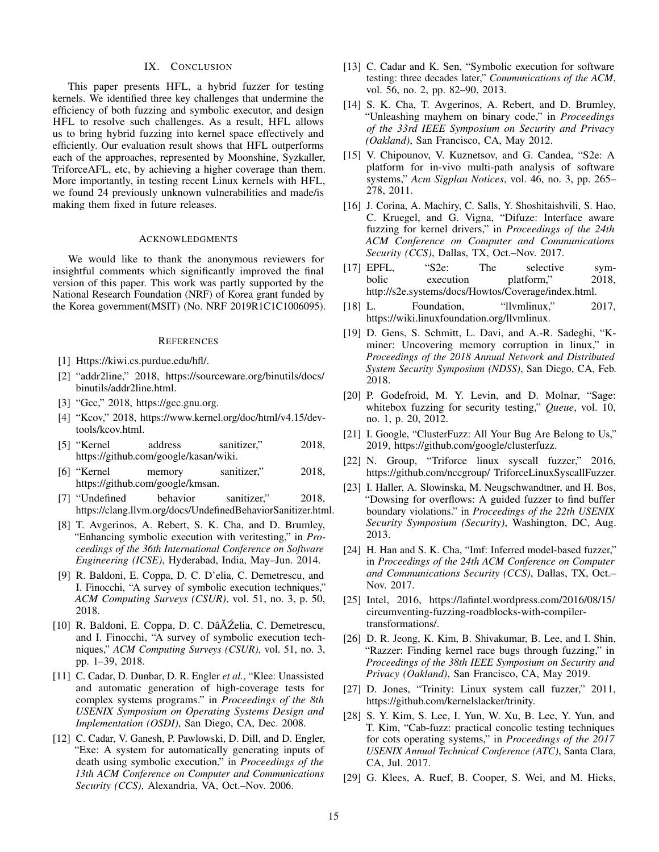# IX. CONCLUSION

This paper presents HFL, a hybrid fuzzer for testing kernels. We identified three key challenges that undermine the efficiency of both fuzzing and symbolic executor, and design HFL to resolve such challenges. As a result, HFL allows us to bring hybrid fuzzing into kernel space effectively and efficiently. Our evaluation result shows that HFL outperforms each of the approaches, represented by Moonshine, Syzkaller, TriforceAFL, etc, by achieving a higher coverage than them. More importantly, in testing recent Linux kernels with HFL, we found 24 previously unknown vulnerabilities and made/is making them fixed in future releases.

#### ACKNOWLEDGMENTS

We would like to thank the anonymous reviewers for insightful comments which significantly improved the final version of this paper. This work was partly supported by the National Research Foundation (NRF) of Korea grant funded by the Korea government(MSIT) (No. NRF 2019R1C1C1006095).

## **REFERENCES**

- <span id="page-14-12"></span>[1] Https://kiwi.cs.purdue.edu/hfl/.
- <span id="page-14-20"></span>[2] "addr2line," 2018, https://sourceware.org/binutils/docs/ binutils/addr2line.html.
- <span id="page-14-10"></span>[3] "Gcc," 2018, https://gcc.gnu.org.
- <span id="page-14-18"></span>[4] "Kcov," 2018, https://www.kernel.org/doc/html/v4.15/devtools/kcov.html.
- <span id="page-14-14"></span>[5] "Kernel address sanitizer," 2018, https://github.com/google/kasan/wiki.
- <span id="page-14-15"></span>[6] "Kernel memory sanitizer," 2018, https://github.com/google/kmsan.
- <span id="page-14-16"></span>[7] "Undefined behavior sanitizer," 2018, https://clang.llvm.org/docs/UndefinedBehaviorSanitizer.html.
- <span id="page-14-22"></span>[8] T. Avgerinos, A. Rebert, S. K. Cha, and D. Brumley, "Enhancing symbolic execution with veritesting," in *Proceedings of the 36th International Conference on Software Engineering (ICSE)*, Hyderabad, India, May–Jun. 2014.
- <span id="page-14-1"></span>[9] R. Baldoni, E. Coppa, D. C. D'elia, C. Demetrescu, and I. Finocchi, "A survey of symbolic execution techniques," *ACM Computing Surveys (CSUR)*, vol. 51, no. 3, p. 50, 2018.
- <span id="page-14-9"></span>[10] R. Baldoni, E. Coppa, D. C. DâĂŹelia, C. Demetrescu, and I. Finocchi, "A survey of symbolic execution techniques," *ACM Computing Surveys (CSUR)*, vol. 51, no. 3, pp. 1–39, 2018.
- <span id="page-14-3"></span>[11] C. Cadar, D. Dunbar, D. R. Engler *et al.*, "Klee: Unassisted and automatic generation of high-coverage tests for complex systems programs." in *Proceedings of the 8th USENIX Symposium on Operating Systems Design and Implementation (OSDI)*, San Diego, CA, Dec. 2008.
- <span id="page-14-23"></span>[12] C. Cadar, V. Ganesh, P. Pawlowski, D. Dill, and D. Engler, "Exe: A system for automatically generating inputs of death using symbolic execution," in *Proceedings of the 13th ACM Conference on Computer and Communications Security (CCS)*, Alexandria, VA, Oct.–Nov. 2006.
- <span id="page-14-2"></span>[13] C. Cadar and K. Sen, "Symbolic execution for software testing: three decades later," *Communications of the ACM*, vol. 56, no. 2, pp. 82–90, 2013.
- <span id="page-14-24"></span>[14] S. K. Cha, T. Avgerinos, A. Rebert, and D. Brumley, "Unleashing mayhem on binary code," in *Proceedings of the 33rd IEEE Symposium on Security and Privacy (Oakland)*, San Francisco, CA, May 2012.
- <span id="page-14-4"></span>[15] V. Chipounov, V. Kuznetsov, and G. Candea, "S2e: A platform for in-vivo multi-path analysis of software systems," *Acm Sigplan Notices*, vol. 46, no. 3, pp. 265– 278, 2011.
- <span id="page-14-7"></span>[16] J. Corina, A. Machiry, C. Salls, Y. Shoshitaishvili, S. Hao, C. Kruegel, and G. Vigna, "Difuze: Interface aware fuzzing for kernel drivers," in *Proceedings of the 24th ACM Conference on Computer and Communications Security (CCS)*, Dallas, TX, Oct.–Nov. 2017.
- <span id="page-14-19"></span>[17] EPFL, "S2e: The selective symbolic execution platform," 2018, bolic execution platform," http://s2e.systems/docs/Howtos/Coverage/index.html.
- <span id="page-14-11"></span>[18] L. Foundation, "llvmlinux," 2017, https://wiki.linuxfoundation.org/llvmlinux.
- <span id="page-14-28"></span>[19] D. Gens, S. Schmitt, L. Davi, and A.-R. Sadeghi, "Kminer: Uncovering memory corruption in linux," in *Proceedings of the 2018 Annual Network and Distributed System Security Symposium (NDSS)*, San Diego, CA, Feb. 2018.
- <span id="page-14-25"></span>[20] P. Godefroid, M. Y. Levin, and D. Molnar, "Sage: whitebox fuzzing for security testing," *Queue*, vol. 10, no. 1, p. 20, 2012.
- <span id="page-14-0"></span>[21] I. Google, "ClusterFuzz: All Your Bug Are Belong to Us," 2019, https://github.com/google/clusterfuzz.
- <span id="page-14-17"></span>[22] N. Group, "Triforce linux syscall fuzzer," 2016, https://github.com/nccgroup/ TriforceLinuxSyscallFuzzer.
- <span id="page-14-26"></span>[23] I. Haller, A. Slowinska, M. Neugschwandtner, and H. Bos, "Dowsing for overflows: A guided fuzzer to find buffer boundary violations." in *Proceedings of the 22th USENIX Security Symposium (Security)*, Washington, DC, Aug. 2013.
- <span id="page-14-8"></span>[24] H. Han and S. K. Cha, "Imf: Inferred model-based fuzzer," in *Proceedings of the 24th ACM Conference on Computer and Communications Security (CCS)*, Dallas, TX, Oct.– Nov. 2017.
- <span id="page-14-27"></span>[25] Intel, 2016, https://lafintel.wordpress.com/2016/08/15/ circumventing-fuzzing-roadblocks-with-compilertransformations/.
- <span id="page-14-6"></span>[26] D. R. Jeong, K. Kim, B. Shivakumar, B. Lee, and I. Shin, "Razzer: Finding kernel race bugs through fuzzing," in *Proceedings of the 38th IEEE Symposium on Security and Privacy (Oakland)*, San Francisco, CA, May 2019.
- <span id="page-14-21"></span>[27] D. Jones, "Trinity: Linux system call fuzzer," 2011, https://github.com/kernelslacker/trinity.
- <span id="page-14-5"></span>[28] S. Y. Kim, S. Lee, I. Yun, W. Xu, B. Lee, Y. Yun, and T. Kim, "Cab-fuzz: practical concolic testing techniques for cots operating systems," in *Proceedings of the 2017 USENIX Annual Technical Conference (ATC)*, Santa Clara, CA, Jul. 2017.
- <span id="page-14-13"></span>[29] G. Klees, A. Ruef, B. Cooper, S. Wei, and M. Hicks,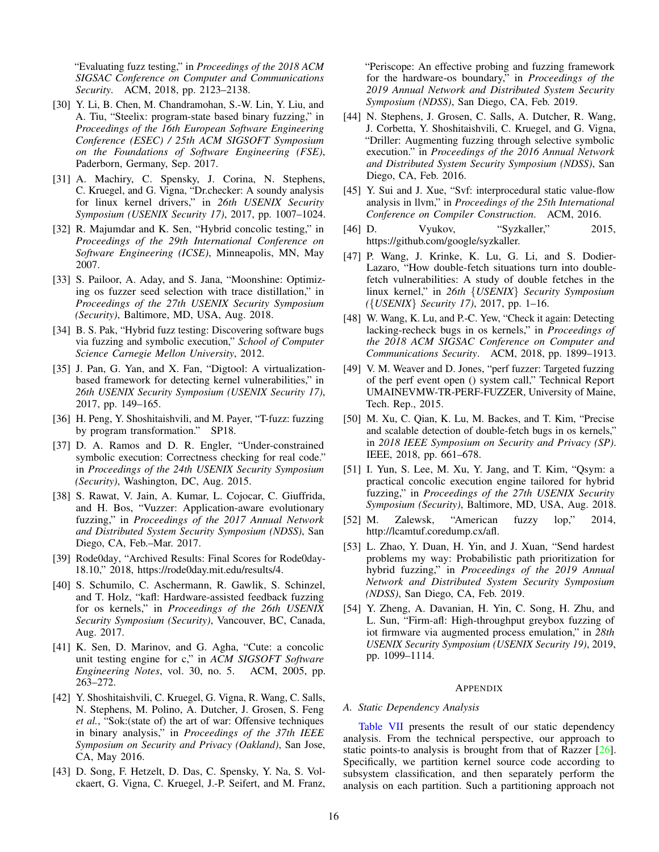"Evaluating fuzz testing," in *Proceedings of the 2018 ACM SIGSAC Conference on Computer and Communications Security*. ACM, 2018, pp. 2123–2138.

- <span id="page-15-2"></span>[30] Y. Li, B. Chen, M. Chandramohan, S.-W. Lin, Y. Liu, and A. Tiu, "Steelix: program-state based binary fuzzing," in *Proceedings of the 16th European Software Engineering Conference (ESEC) / 25th ACM SIGSOFT Symposium on the Foundations of Software Engineering (FSE)*, Paderborn, Germany, Sep. 2017.
- <span id="page-15-21"></span>[31] A. Machiry, C. Spensky, J. Corina, N. Stephens, C. Kruegel, and G. Vigna, "Dr.checker: A soundy analysis for linux kernel drivers," in *26th USENIX Security Symposium (USENIX Security 17)*, 2017, pp. 1007–1024.
- <span id="page-15-6"></span>[32] R. Majumdar and K. Sen, "Hybrid concolic testing," in *Proceedings of the 29th International Conference on Software Engineering (ICSE)*, Minneapolis, MN, May 2007.
- <span id="page-15-15"></span>[33] S. Pailoor, A. Aday, and S. Jana, "Moonshine: Optimizing os fuzzer seed selection with trace distillation," in *Proceedings of the 27th USENIX Security Symposium (Security)*, Baltimore, MD, USA, Aug. 2018.
- <span id="page-15-7"></span>[34] B. S. Pak, "Hybrid fuzz testing: Discovering software bugs via fuzzing and symbolic execution," *School of Computer Science Carnegie Mellon University*, 2012.
- <span id="page-15-11"></span>[35] J. Pan, G. Yan, and X. Fan, "Digtool: A virtualizationbased framework for detecting kernel vulnerabilities," in *26th USENIX Security Symposium (USENIX Security 17)*, 2017, pp. 149–165.
- <span id="page-15-3"></span>[36] H. Peng, Y. Shoshitaishvili, and M. Payer, "T-fuzz: fuzzing by program transformation." SP18.
- <span id="page-15-5"></span>[37] D. A. Ramos and D. R. Engler, "Under-constrained symbolic execution: Correctness checking for real code." in *Proceedings of the 24th USENIX Security Symposium (Security)*, Washington, DC, Aug. 2015.
- <span id="page-15-4"></span>[38] S. Rawat, V. Jain, A. Kumar, L. Cojocar, C. Giuffrida, and H. Bos, "Vuzzer: Application-aware evolutionary fuzzing," in *Proceedings of the 2017 Annual Network and Distributed System Security Symposium (NDSS)*, San Diego, CA, Feb.–Mar. 2017.
- <span id="page-15-16"></span>[39] Rode0day, "Archived Results: Final Scores for Rode0day-18.10," 2018, https://rode0day.mit.edu/results/4.
- <span id="page-15-12"></span>[40] S. Schumilo, C. Aschermann, R. Gawlik, S. Schinzel, and T. Holz, "kafl: Hardware-assisted feedback fuzzing for os kernels," in *Proceedings of the 26th USENIX Security Symposium (Security)*, Vancouver, BC, Canada, Aug. 2017.
- <span id="page-15-19"></span>[41] K. Sen, D. Marinov, and G. Agha, "Cute: a concolic unit testing engine for c," in *ACM SIGSOFT Software Engineering Notes*, vol. 30, no. 5. ACM, 2005, pp. 263–272.
- <span id="page-15-20"></span>[42] Y. Shoshitaishvili, C. Kruegel, G. Vigna, R. Wang, C. Salls, N. Stephens, M. Polino, A. Dutcher, J. Grosen, S. Feng *et al.*, "Sok:(state of) the art of war: Offensive techniques in binary analysis," in *Proceedings of the 37th IEEE Symposium on Security and Privacy (Oakland)*, San Jose, CA, May 2016.
- <span id="page-15-13"></span>[43] D. Song, F. Hetzelt, D. Das, C. Spensky, Y. Na, S. Volckaert, G. Vigna, C. Kruegel, J.-P. Seifert, and M. Franz,

"Periscope: An effective probing and fuzzing framework for the hardware-os boundary," in *Proceedings of the 2019 Annual Network and Distributed System Security Symposium (NDSS)*, San Diego, CA, Feb. 2019.

- <span id="page-15-8"></span>[44] N. Stephens, J. Grosen, C. Salls, A. Dutcher, R. Wang, J. Corbetta, Y. Shoshitaishvili, C. Kruegel, and G. Vigna, "Driller: Augmenting fuzzing through selective symbolic execution." in *Proceedings of the 2016 Annual Network and Distributed System Security Symposium (NDSS)*, San Diego, CA, Feb. 2016.
- <span id="page-15-18"></span>[45] Y. Sui and J. Xue, "Svf: interprocedural static value-flow analysis in llvm," in *Proceedings of the 25th International Conference on Compiler Construction*. ACM, 2016.
- <span id="page-15-0"></span>[46] D. Vyukov, "Syzkaller," 2015, https://github.com/google/syzkaller.
- <span id="page-15-22"></span>[47] P. Wang, J. Krinke, K. Lu, G. Li, and S. Dodier-Lazaro, "How double-fetch situations turn into doublefetch vulnerabilities: A study of double fetches in the linux kernel," in *26th* {*USENIX*} *Security Symposium (*{*USENIX*} *Security 17)*, 2017, pp. 1–16.
- <span id="page-15-23"></span>[48] W. Wang, K. Lu, and P.-C. Yew, "Check it again: Detecting lacking-recheck bugs in os kernels," in *Proceedings of the 2018 ACM SIGSAC Conference on Computer and Communications Security*. ACM, 2018, pp. 1899–1913.
- <span id="page-15-14"></span>[49] V. M. Weaver and D. Jones, "perf fuzzer: Targeted fuzzing of the perf event open () system call," Technical Report UMAINEVMW-TR-PERF-FUZZER, University of Maine, Tech. Rep., 2015.
- <span id="page-15-24"></span>[50] M. Xu, C. Qian, K. Lu, M. Backes, and T. Kim, "Precise and scalable detection of double-fetch bugs in os kernels," in *2018 IEEE Symposium on Security and Privacy (SP)*. IEEE, 2018, pp. 661–678.
- <span id="page-15-9"></span>[51] I. Yun, S. Lee, M. Xu, Y. Jang, and T. Kim, "Qsym: a practical concolic execution engine tailored for hybrid fuzzing," in *Proceedings of the 27th USENIX Security Symposium (Security)*, Baltimore, MD, USA, Aug. 2018.
- <span id="page-15-1"></span>[52] M. Zalewsk, "American fuzzy lop," 2014, http://lcamtuf.coredump.cx/afl.
- <span id="page-15-10"></span>[53] L. Zhao, Y. Duan, H. Yin, and J. Xuan, "Send hardest problems my way: Probabilistic path prioritization for hybrid fuzzing," in *Proceedings of the 2019 Annual Network and Distributed System Security Symposium (NDSS)*, San Diego, CA, Feb. 2019.
- <span id="page-15-17"></span>[54] Y. Zheng, A. Davanian, H. Yin, C. Song, H. Zhu, and L. Sun, "Firm-afl: High-throughput greybox fuzzing of iot firmware via augmented process emulation," in *28th USENIX Security Symposium (USENIX Security 19)*, 2019, pp. 1099–1114.

#### APPENDIX

#### *A. Static Dependency Analysis*

[Table VII](#page-16-3) presents the result of our static dependency analysis. From the technical perspective, our approach to static points-to analysis is brought from that of Razzer [\[26\]](#page-14-6). Specifically, we partition kernel source code according to subsystem classification, and then separately perform the analysis on each partition. Such a partitioning approach not